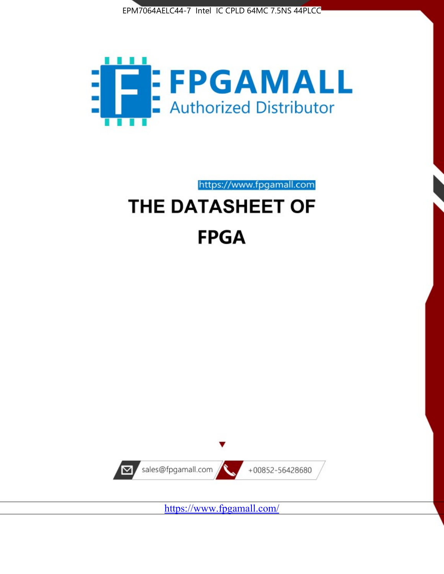



https://www.fpgamall.com

# THE DATASHEET OF **FPGA**



<https://www.fpgamall.com/>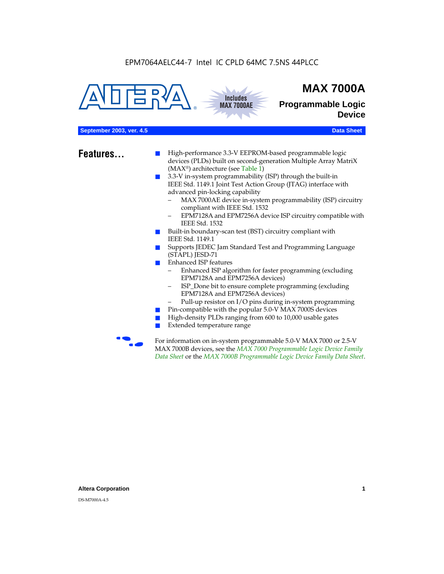



## **MAX 7000A**

**Programmable Logic Device**

#### **September 2003, ver. 4.5 Data Sheet** Construction of the Construction of the Construction of the Construction of the Construction of the Construction of the Construction of the Construction of the Construction of the Cons

- **Features...** High-performance 3.3-V EEPROM-based programmable logic devices (PLDs) built on second-generation Multiple Array MatriX (MAX®) architecture (see Table 1)
	- 3.3-V in-system programmability (ISP) through the built-in IEEE Std. 1149.1 Joint Test Action Group (JTAG) interface with advanced pin-locking capability
		- MAX 7000AE device in-system programmability (ISP) circuitry compliant with IEEE Std. 1532
		- EPM7128A and EPM7256A device ISP circuitry compatible with IEEE Std. 1532
	- Built-in boundary-scan test (BST) circuitry compliant with IEEE Std. 1149.1
	- Supports JEDEC Jam Standard Test and Programming Language (STAPL) JESD-71
	- Enhanced ISP features
		- Enhanced ISP algorithm for faster programming (excluding EPM7128A and EPM7256A devices)
		- ISP\_Done bit to ensure complete programming (excluding EPM7128A and EPM7256A devices)
		- Pull-up resistor on I/O pins during in-system programming
	- Pin-compatible with the popular 5.0-V MAX 7000S devices
	- High-density PLDs ranging from 600 to 10,000 usable gates
	- Extended temperature range

For information on in-system programmable 5.0-V MAX 7000 or 2.5-V MAX 7000B devices, see the *MAX 7000 Programmable Logic Device Family Data Sheet* or the *MAX 7000B Programmable Logic Device Family Data Sheet*.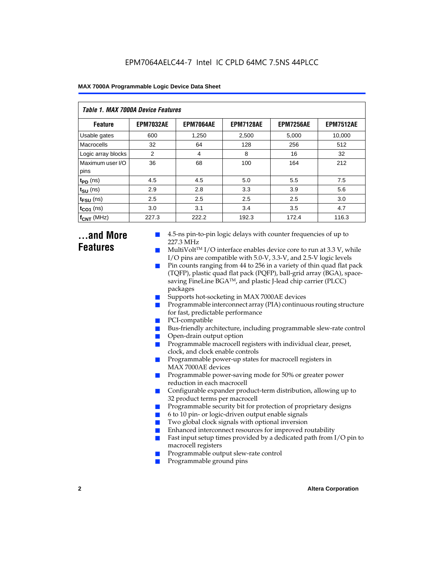| Table 1. MAX 7000A Device Features |                  |                  |                  |                  |                  |  |  |  |  |
|------------------------------------|------------------|------------------|------------------|------------------|------------------|--|--|--|--|
| <b>Feature</b>                     | <b>EPM7032AE</b> | <b>EPM7064AE</b> | <b>EPM7128AE</b> | <b>EPM7256AE</b> | <b>EPM7512AE</b> |  |  |  |  |
| Usable gates                       | 600              | 1,250            | 2,500            | 5,000            | 10,000           |  |  |  |  |
| Macrocells                         | 32               | 64               | 128              | 256              | 512              |  |  |  |  |
| Logic array blocks                 | 2                | 4                | 8                | 16               | 32               |  |  |  |  |
| Maximum user I/O<br>pins           | 36               | 68               | 100              | 164              | 212              |  |  |  |  |
| $t_{PD}$ (ns)                      | 4.5              | 4.5              | 5.0              | 5.5              | 7.5              |  |  |  |  |
| $t_{\text{SU}}$ (ns)               | 2.9              | 2.8              | 3.3              | 3.9              | 5.6              |  |  |  |  |
| $t_{\text{FSU}}$ (ns)              | 2.5              | 2.5              | 2.5              | 2.5              | 3.0              |  |  |  |  |
| $t_{CO1}$ (ns)                     | 3.0              | 3.1              | 3.4              | 3.5              | 4.7              |  |  |  |  |
| $f_{\text{CNT}}$ (MHz)             | 227.3            | 222.2            | 192.3            | 172.4            | 116.3            |  |  |  |  |

### **...and More Features**

- 4.5-ns pin-to-pin logic delays with counter frequencies of up to 227.3 MHz
- $Multivolt<sup>TM</sup> I/O interface enables device core to run at 3.3 V, while$ I/O pins are compatible with 5.0-V, 3.3-V, and 2.5-V logic levels
- Pin counts ranging from 44 to 256 in a variety of thin quad flat pack (TQFP), plastic quad flat pack (PQFP), ball-grid array (BGA), spacesaving FineLine BGATM, and plastic J-lead chip carrier (PLCC) packages
- Supports hot-socketing in MAX 7000AE devices
- Programmable interconnect array (PIA) continuous routing structure for fast, predictable performance
- PCI-compatible
- Bus-friendly architecture, including programmable slew-rate control
- Open-drain output option
- Programmable macrocell registers with individual clear, preset, clock, and clock enable controls
- Programmable power-up states for macrocell registers in MAX 7000AE devices
- Programmable power-saving mode for 50% or greater power reduction in each macrocell
- Configurable expander product-term distribution, allowing up to 32 product terms per macrocell
- Programmable security bit for protection of proprietary designs
- 6 to 10 pin- or logic-driven output enable signals
- Two global clock signals with optional inversion
- Enhanced interconnect resources for improved routability
- Fast input setup times provided by a dedicated path from  $I/O$  pin to macrocell registers
- Programmable output slew-rate control
- Programmable ground pins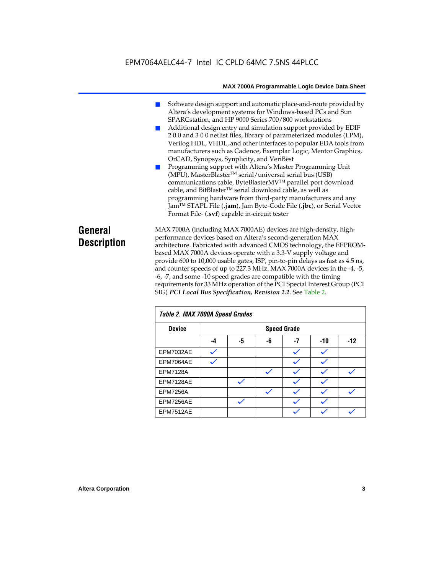### EPM7064AELC44-7 Intel IC CPLD 64MC 7.5NS 44PLCC

#### **MAX 7000A Programmable Logic Device Data Sheet**

- Software design support and automatic place-and-route provided by Altera's development systems for Windows-based PCs and Sun SPARCstation, and HP 9000 Series 700/800 workstations
- Additional design entry and simulation support provided by EDIF 2 0 0 and 3 0 0 netlist files, library of parameterized modules (LPM), Verilog HDL, VHDL, and other interfaces to popular EDA tools from manufacturers such as Cadence, Exemplar Logic, Mentor Graphics, OrCAD, Synopsys, Synplicity, and VeriBest
- Programming support with Altera's Master Programming Unit (MPU), MasterBlaster™ serial/universal serial bus (USB) communications cable, ByteBlasterMVTM parallel port download cable, and BitBlaster™ serial download cable, as well as programming hardware from third-party manufacturers and any JamTM STAPL File (**.jam**), Jam Byte-Code File (**.jbc**), or Serial Vector Format File- (**.svf**) capable in-circuit tester

### **General Description**

MAX 7000A (including MAX 7000AE) devices are high-density, highperformance devices based on Altera's second-generation MAX architecture. Fabricated with advanced CMOS technology, the EEPROMbased MAX 7000A devices operate with a 3.3-V supply voltage and provide 600 to 10,000 usable gates, ISP, pin-to-pin delays as fast as 4.5 ns, and counter speeds of up to 227.3 MHz. MAX 7000A devices in the -4, -5, -6, -7, and some -10 speed grades are compatible with the timing requirements for 33 MHz operation of the PCI Special Interest Group (PCI SIG) *PCI Local Bus Specification, Revision 2.2*. See Table 2.

| Table 2. MAX 7000A Speed Grades |    |                    |    |    |       |       |  |  |  |
|---------------------------------|----|--------------------|----|----|-------|-------|--|--|--|
| <b>Device</b>                   |    | <b>Speed Grade</b> |    |    |       |       |  |  |  |
|                                 | -4 | -5                 | -6 | -7 | $-10$ | $-12$ |  |  |  |
| EPM7032AE                       |    |                    |    |    |       |       |  |  |  |
| EPM7064AE                       |    |                    |    |    |       |       |  |  |  |
| <b>EPM7128A</b>                 |    |                    |    |    |       |       |  |  |  |
| EPM7128AE                       |    |                    |    |    |       |       |  |  |  |
| <b>EPM7256A</b>                 |    |                    |    |    |       |       |  |  |  |
| EPM7256AE                       |    |                    |    |    |       |       |  |  |  |
| EPM7512AE                       |    |                    |    |    |       |       |  |  |  |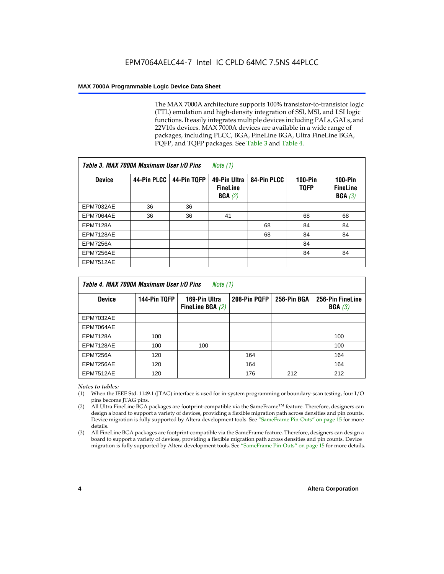The MAX 7000A architecture supports 100% transistor-to-transistor logic (TTL) emulation and high-density integration of SSI, MSI, and LSI logic functions. It easily integrates multiple devices including PALs, GALs, and 22V10s devices. MAX 7000A devices are available in a wide range of packages, including PLCC, BGA, FineLine BGA, Ultra FineLine BGA, PQFP, and TQFP packages. See Table 3 and Table 4.

| Table 3. MAX 7000A Maximum User I/O Pins |             |             | Note $(1)$                                |             |                               |                                        |
|------------------------------------------|-------------|-------------|-------------------------------------------|-------------|-------------------------------|----------------------------------------|
| <b>Device</b>                            | 44-Pin PLCC | 44-Pin TQFP | 49-Pin Ultra<br><b>FineLine</b><br>BGA(2) | 84-Pin PLCC | <b>100-Pin</b><br><b>TQFP</b> | $100-Pin$<br><b>FineLine</b><br>BGA(3) |
| EPM7032AE                                | 36          | 36          |                                           |             |                               |                                        |
| EPM7064AE                                | 36          | 36          | 41                                        |             | 68                            | 68                                     |
| <b>EPM7128A</b>                          |             |             |                                           | 68          | 84                            | 84                                     |
| EPM7128AE                                |             |             |                                           | 68          | 84                            | 84                                     |
| <b>EPM7256A</b>                          |             |             |                                           |             | 84                            |                                        |
| EPM7256AE                                |             |             |                                           |             | 84                            | 84                                     |
| <b>EPM7512AE</b>                         |             |             |                                           |             |                               |                                        |

| Table 4. MAX 7000A Maximum User I/O Pins<br>Note (1) |              |                                     |              |             |                            |  |  |
|------------------------------------------------------|--------------|-------------------------------------|--------------|-------------|----------------------------|--|--|
| <b>Device</b>                                        | 144-Pin TQFP | 169-Pin Ultra<br>FineLine BGA $(2)$ | 208-Pin PQFP | 256-Pin BGA | 256-Pin FineLine<br>BGA(3) |  |  |
| EPM7032AE                                            |              |                                     |              |             |                            |  |  |
| EPM7064AE                                            |              |                                     |              |             |                            |  |  |
| <b>EPM7128A</b>                                      | 100          |                                     |              |             | 100                        |  |  |
| EPM7128AE                                            | 100          | 100                                 |              |             | 100                        |  |  |
| <b>EPM7256A</b>                                      | 120          |                                     | 164          |             | 164                        |  |  |
| EPM7256AE                                            | 120          |                                     | 164          |             | 164                        |  |  |
| EPM7512AE                                            | 120          |                                     | 176          | 212         | 212                        |  |  |

#### *Notes to tables:*

- (1) When the IEEE Std. 1149.1 (JTAG) interface is used for in-system programming or boundary-scan testing, four I/O pins become JTAG pins.
- (2) All Ultra FineLine BGA packages are footprint-compatible via the SameFrame<sup>TM</sup> feature. Therefore, designers can design a board to support a variety of devices, providing a flexible migration path across densities and pin counts. Device migration is fully supported by Altera development tools. See "SameFrame Pin-Outs" on page 15 for more details.
- (3) All FineLine BGA packages are footprint-compatible via the SameFrame feature. Therefore, designers can design a board to support a variety of devices, providing a flexible migration path across densities and pin counts. Device migration is fully supported by Altera development tools. See "SameFrame Pin-Outs" on page 15 for more details.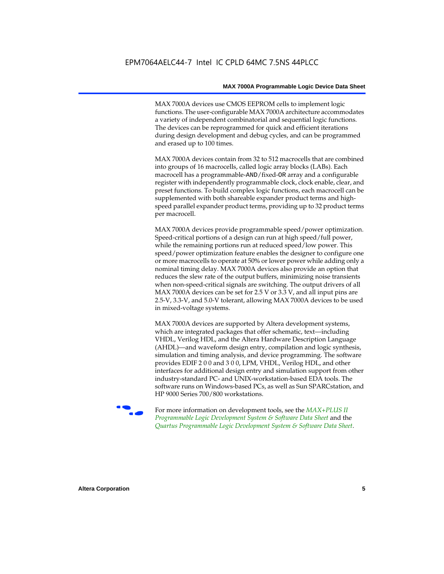MAX 7000A devices use CMOS EEPROM cells to implement logic functions. The user-configurable MAX 7000A architecture accommodates a variety of independent combinatorial and sequential logic functions. The devices can be reprogrammed for quick and efficient iterations during design development and debug cycles, and can be programmed and erased up to 100 times.

MAX 7000A devices contain from 32 to 512 macrocells that are combined into groups of 16 macrocells, called logic array blocks (LABs). Each macrocell has a programmable-AND/fixed-OR array and a configurable register with independently programmable clock, clock enable, clear, and preset functions. To build complex logic functions, each macrocell can be supplemented with both shareable expander product terms and highspeed parallel expander product terms, providing up to 32 product terms per macrocell.

MAX 7000A devices provide programmable speed/power optimization. Speed-critical portions of a design can run at high speed/full power, while the remaining portions run at reduced speed/low power. This speed/power optimization feature enables the designer to configure one or more macrocells to operate at 50% or lower power while adding only a nominal timing delay. MAX 7000A devices also provide an option that reduces the slew rate of the output buffers, minimizing noise transients when non-speed-critical signals are switching. The output drivers of all MAX 7000A devices can be set for 2.5 V or 3.3 V, and all input pins are 2.5-V, 3.3-V, and 5.0-V tolerant, allowing MAX 7000A devices to be used in mixed-voltage systems.

MAX 7000A devices are supported by Altera development systems, which are integrated packages that offer schematic, text—including VHDL, Verilog HDL, and the Altera Hardware Description Language (AHDL)—and waveform design entry, compilation and logic synthesis, simulation and timing analysis, and device programming. The software provides EDIF 2 0 0 and 3 0 0, LPM, VHDL, Verilog HDL, and other interfaces for additional design entry and simulation support from other industry-standard PC- and UNIX-workstation-based EDA tools. The software runs on Windows-based PCs, as well as Sun SPARCstation, and HP 9000 Series 700/800 workstations.

**For more information on development tools, see the** *MAX+PLUS II Programmable Logic Development System & Software Data Sheet* and the *Quartus Programmable Logic Development System & Software Data Sheet*.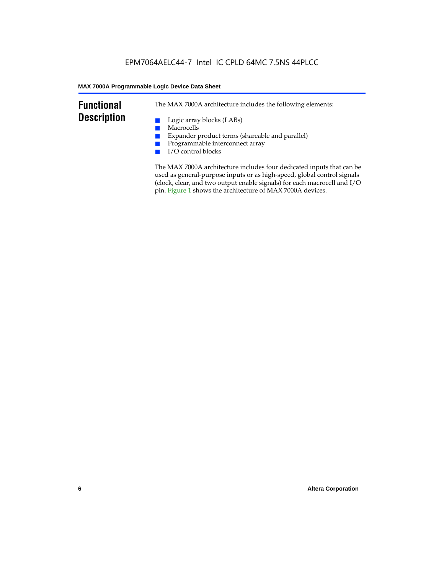### **Functional Description**

The MAX 7000A architecture includes the following elements:

- Logic array blocks (LABs)
- Macrocells
- Expander product terms (shareable and parallel)
- Programmable interconnect array
- I/O control blocks

The MAX 7000A architecture includes four dedicated inputs that can be used as general-purpose inputs or as high-speed, global control signals (clock, clear, and two output enable signals) for each macrocell and I/O pin. Figure 1 shows the architecture of MAX 7000A devices.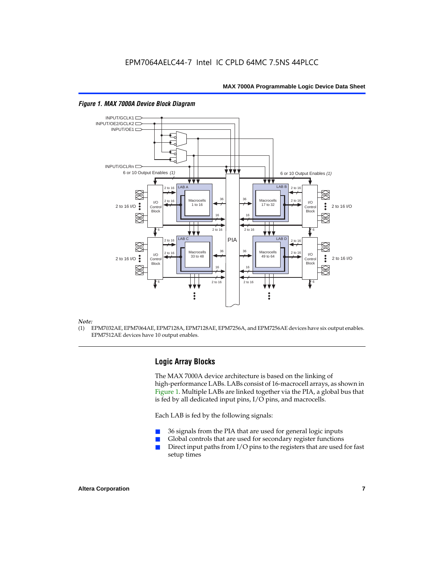

#### *Figure 1. MAX 7000A Device Block Diagram*

#### *Note:*

(1) EPM7032AE, EPM7064AE, EPM7128A, EPM7128AE, EPM7256A, and EPM7256AE devices have six output enables. EPM7512AE devices have 10 output enables.

#### **Logic Array Blocks**

The MAX 7000A device architecture is based on the linking of high-performance LABs. LABs consist of 16-macrocell arrays, as shown in Figure 1. Multiple LABs are linked together via the PIA, a global bus that is fed by all dedicated input pins, I/O pins, and macrocells.

Each LAB is fed by the following signals:

- 36 signals from the PIA that are used for general logic inputs
- Global controls that are used for secondary register functions
- Direct input paths from  $I/O$  pins to the registers that are used for fast setup times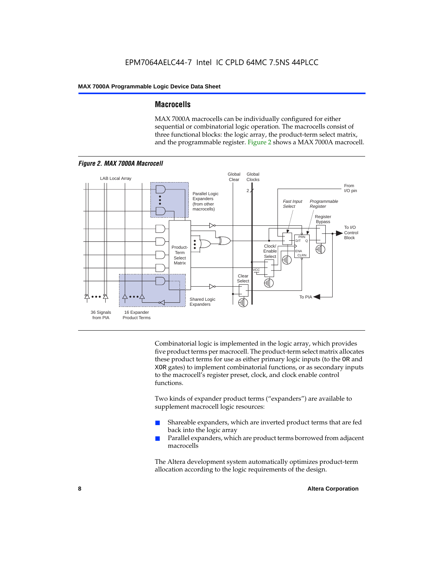#### **Macrocells**

MAX 7000A macrocells can be individually configured for either sequential or combinatorial logic operation. The macrocells consist of three functional blocks: the logic array, the product-term select matrix, and the programmable register. Figure 2 shows a MAX 7000A macrocell.



Combinatorial logic is implemented in the logic array, which provides five product terms per macrocell. The product-term select matrix allocates these product terms for use as either primary logic inputs (to the OR and XOR gates) to implement combinatorial functions, or as secondary inputs to the macrocell's register preset, clock, and clock enable control functions.

Two kinds of expander product terms ("expanders") are available to supplement macrocell logic resources:

- Shareable expanders, which are inverted product terms that are fed back into the logic array
- Parallel expanders, which are product terms borrowed from adjacent macrocells

The Altera development system automatically optimizes product-term allocation according to the logic requirements of the design.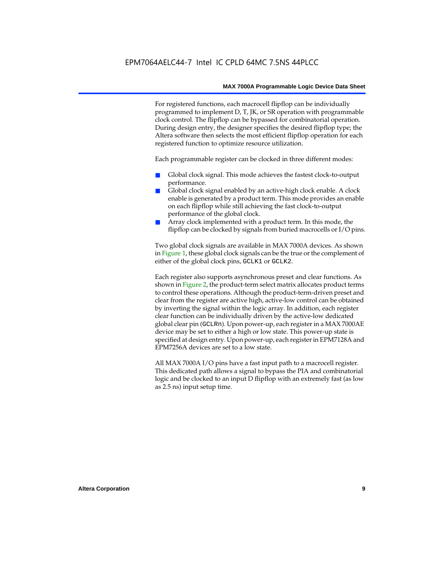For registered functions, each macrocell flipflop can be individually programmed to implement D, T, JK, or SR operation with programmable clock control. The flipflop can be bypassed for combinatorial operation. During design entry, the designer specifies the desired flipflop type; the Altera software then selects the most efficient flipflop operation for each registered function to optimize resource utilization.

Each programmable register can be clocked in three different modes:

- Global clock signal. This mode achieves the fastest clock-to-output performance.
- Global clock signal enabled by an active-high clock enable. A clock enable is generated by a product term. This mode provides an enable on each flipflop while still achieving the fast clock-to-output performance of the global clock.
- Array clock implemented with a product term. In this mode, the flipflop can be clocked by signals from buried macrocells or I/O pins.

Two global clock signals are available in MAX 7000A devices. As shown in Figure 1, these global clock signals can be the true or the complement of either of the global clock pins, GCLK1 or GCLK2.

Each register also supports asynchronous preset and clear functions. As shown in Figure 2, the product-term select matrix allocates product terms to control these operations. Although the product-term-driven preset and clear from the register are active high, active-low control can be obtained by inverting the signal within the logic array. In addition, each register clear function can be individually driven by the active-low dedicated global clear pin (GCLRn). Upon power-up, each register in a MAX 7000AE device may be set to either a high or low state. This power-up state is specified at design entry. Upon power-up, each register in EPM7128A and EPM7256A devices are set to a low state.

All MAX 7000A I/O pins have a fast input path to a macrocell register. This dedicated path allows a signal to bypass the PIA and combinatorial logic and be clocked to an input D flipflop with an extremely fast (as low as 2.5 ns) input setup time.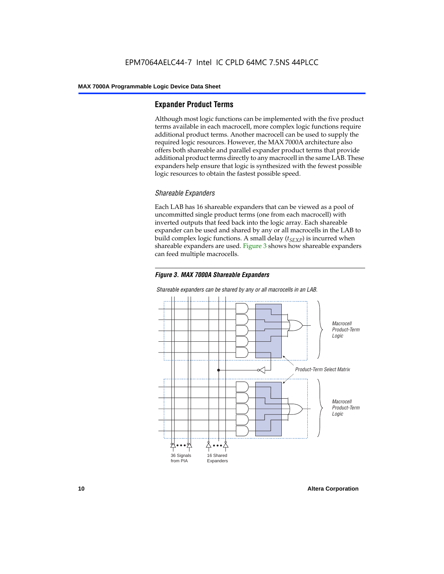#### **Expander Product Terms**

Although most logic functions can be implemented with the five product terms available in each macrocell, more complex logic functions require additional product terms. Another macrocell can be used to supply the required logic resources. However, the MAX 7000A architecture also offers both shareable and parallel expander product terms that provide additional product terms directly to any macrocell in the same LAB. These expanders help ensure that logic is synthesized with the fewest possible logic resources to obtain the fastest possible speed.

#### *Shareable Expanders*

Each LAB has 16 shareable expanders that can be viewed as a pool of uncommitted single product terms (one from each macrocell) with inverted outputs that feed back into the logic array. Each shareable expander can be used and shared by any or all macrocells in the LAB to build complex logic functions. A small delay  $(t_{SFXP})$  is incurred when shareable expanders are used. Figure 3 shows how shareable expanders can feed multiple macrocells.





*Shareable expanders can be shared by any or all macrocells in an LAB.*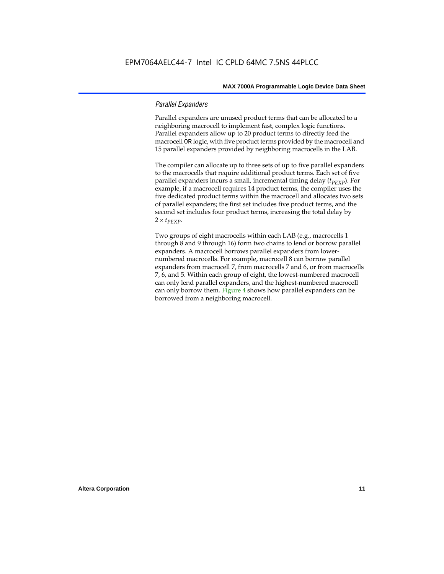#### *Parallel Expanders*

Parallel expanders are unused product terms that can be allocated to a neighboring macrocell to implement fast, complex logic functions. Parallel expanders allow up to 20 product terms to directly feed the macrocell OR logic, with five product terms provided by the macrocell and 15 parallel expanders provided by neighboring macrocells in the LAB.

The compiler can allocate up to three sets of up to five parallel expanders to the macrocells that require additional product terms. Each set of five parallel expanders incurs a small, incremental timing delay (*t<sub>PEXP</sub>*). For example, if a macrocell requires 14 product terms, the compiler uses the five dedicated product terms within the macrocell and allocates two sets of parallel expanders; the first set includes five product terms, and the second set includes four product terms, increasing the total delay by  $2 \times t_{PEXP}$ .

Two groups of eight macrocells within each LAB (e.g., macrocells 1 through 8 and 9 through 16) form two chains to lend or borrow parallel expanders. A macrocell borrows parallel expanders from lowernumbered macrocells. For example, macrocell 8 can borrow parallel expanders from macrocell 7, from macrocells 7 and 6, or from macrocells 7, 6, and 5. Within each group of eight, the lowest-numbered macrocell can only lend parallel expanders, and the highest-numbered macrocell can only borrow them. Figure 4 shows how parallel expanders can be borrowed from a neighboring macrocell.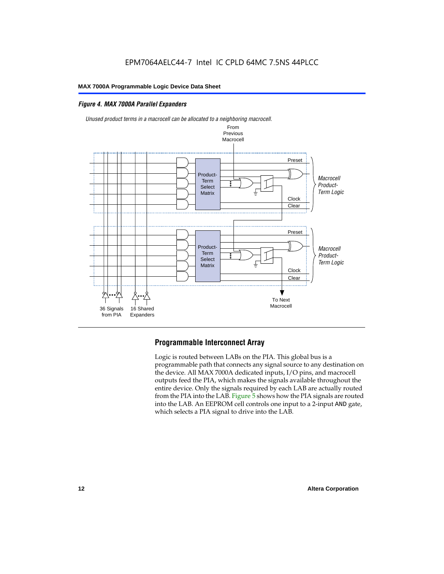#### *Figure 4. MAX 7000A Parallel Expanders*





#### **Programmable Interconnect Array**

Logic is routed between LABs on the PIA. This global bus is a programmable path that connects any signal source to any destination on the device. All MAX 7000A dedicated inputs, I/O pins, and macrocell outputs feed the PIA, which makes the signals available throughout the entire device. Only the signals required by each LAB are actually routed from the PIA into the LAB. Figure 5 shows how the PIA signals are routed into the LAB. An EEPROM cell controls one input to a 2-input AND gate, which selects a PIA signal to drive into the LAB.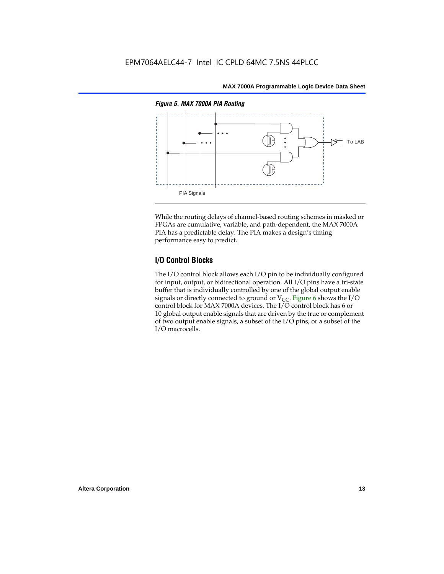

While the routing delays of channel-based routing schemes in masked or FPGAs are cumulative, variable, and path-dependent, the MAX 7000A PIA has a predictable delay. The PIA makes a design's timing performance easy to predict.

#### **I/O Control Blocks**

The I/O control block allows each I/O pin to be individually configured for input, output, or bidirectional operation. All I/O pins have a tri-state buffer that is individually controlled by one of the global output enable signals or directly connected to ground or  $V_{CC}$ . Figure 6 shows the I/O control block for MAX 7000A devices. The I/O control block has 6 or 10 global output enable signals that are driven by the true or complement of two output enable signals, a subset of the I/O pins, or a subset of the I/O macrocells.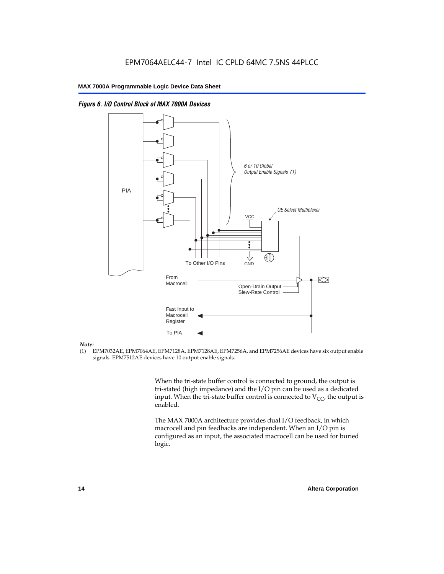

*Figure 6. I/O Control Block of MAX 7000A Devices*

#### *Note:*

(1) EPM7032AE, EPM7064AE, EPM7128A, EPM7128AE, EPM7256A, and EPM7256AE devices have six output enable signals. EPM7512AE devices have 10 output enable signals.

> When the tri-state buffer control is connected to ground, the output is tri-stated (high impedance) and the I/O pin can be used as a dedicated input. When the tri-state buffer control is connected to  $V_{CC}$ , the output is enabled.

The MAX 7000A architecture provides dual I/O feedback, in which macrocell and pin feedbacks are independent. When an I/O pin is configured as an input, the associated macrocell can be used for buried logic.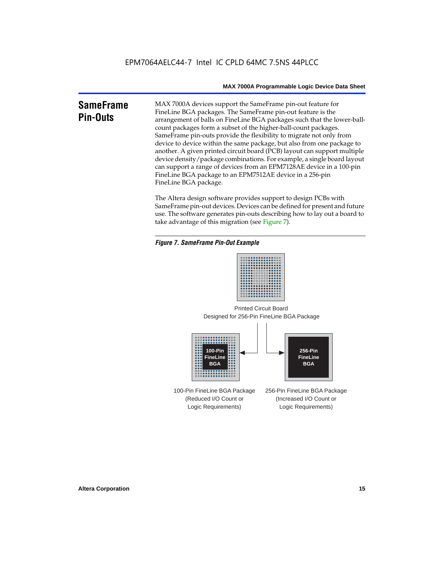#### **SameFrame Pin-Outs** MAX 7000A devices support the SameFrame pin-out feature for FineLine BGA packages. The SameFrame pin-out feature is the arrangement of balls on FineLine BGA packages such that the lower-ballcount packages form a subset of the higher-ball-count packages. SameFrame pin-outs provide the flexibility to migrate not only from device to device within the same package, but also from one package to another. A given printed circuit board (PCB) layout can support multiple device density/package combinations. For example, a single board layout can support a range of devices from an EPM7128AE device in a 100-pin FineLine BGA package to an EPM7512AE device in a 256-pin FineLine BGA package.

The Altera design software provides support to design PCBs with SameFrame pin-out devices. Devices can be defined for present and future use. The software generates pin-outs describing how to lay out a board to take advantage of this migration (see Figure 7).

#### *Figure 7. SameFrame Pin-Out Example*



Designed for 256-Pin FineLine BGA Package Printed Circuit Board



100-Pin FineLine BGA Package (Reduced I/O Count or Logic Requirements) 256-Pin FineLine BGA Package (Increased I/O Count or Logic Requirements)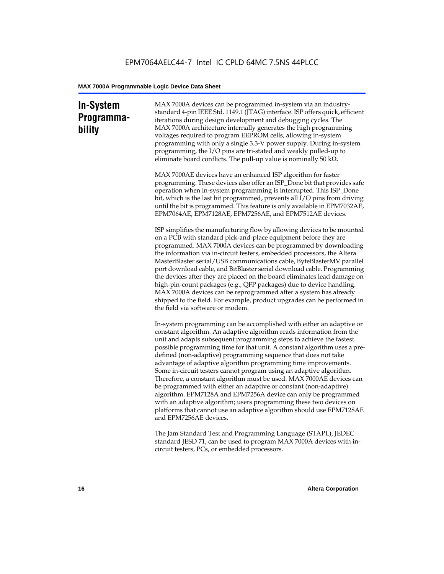### **In-System Programmability**

MAX 7000A devices can be programmed in-system via an industrystandard 4-pin IEEE Std. 1149.1 (JTAG) interface. ISP offers quick, efficient iterations during design development and debugging cycles. The MAX 7000A architecture internally generates the high programming voltages required to program EEPROM cells, allowing in-system programming with only a single 3.3-V power supply. During in-system programming, the I/O pins are tri-stated and weakly pulled-up to eliminate board conflicts. The pull-up value is nominally 50 k $\Omega$ .

MAX 7000AE devices have an enhanced ISP algorithm for faster programming. These devices also offer an ISP\_Done bit that provides safe operation when in-system programming is interrupted. This ISP\_Done bit, which is the last bit programmed, prevents all I/O pins from driving until the bit is programmed. This feature is only available in EPM7032AE, EPM7064AE, EPM7128AE, EPM7256AE, and EPM7512AE devices.

ISP simplifies the manufacturing flow by allowing devices to be mounted on a PCB with standard pick-and-place equipment before they are programmed. MAX 7000A devices can be programmed by downloading the information via in-circuit testers, embedded processors, the Altera MasterBlaster serial/USB communications cable, ByteBlasterMV parallel port download cable, and BitBlaster serial download cable. Programming the devices after they are placed on the board eliminates lead damage on high-pin-count packages (e.g., QFP packages) due to device handling. MAX 7000A devices can be reprogrammed after a system has already shipped to the field. For example, product upgrades can be performed in the field via software or modem.

In-system programming can be accomplished with either an adaptive or constant algorithm. An adaptive algorithm reads information from the unit and adapts subsequent programming steps to achieve the fastest possible programming time for that unit. A constant algorithm uses a predefined (non-adaptive) programming sequence that does not take advantage of adaptive algorithm programming time improvements. Some in-circuit testers cannot program using an adaptive algorithm. Therefore, a constant algorithm must be used. MAX 7000AE devices can be programmed with either an adaptive or constant (non-adaptive) algorithm. EPM7128A and EPM7256A device can only be programmed with an adaptive algorithm; users programming these two devices on platforms that cannot use an adaptive algorithm should use EPM7128AE and EPM7256AE devices.

The Jam Standard Test and Programming Language (STAPL), JEDEC standard JESD 71, can be used to program MAX 7000A devices with incircuit testers, PCs, or embedded processors.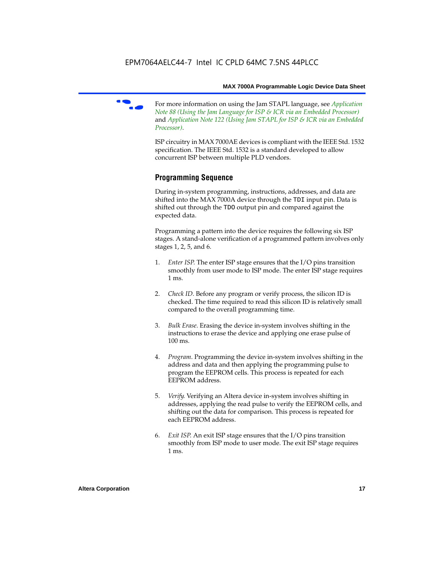

f For more information on using the Jam STAPL language, see *Application Note 88 (Using the Jam Language for ISP & ICR via an Embedded Processor)*  and *Application Note 122 (Using Jam STAPL for ISP & ICR via an Embedded Processor)*.

ISP circuitry in MAX 7000AE devices is compliant with the IEEE Std. 1532 specification. The IEEE Std. 1532 is a standard developed to allow concurrent ISP between multiple PLD vendors.

#### **Programming Sequence**

During in-system programming, instructions, addresses, and data are shifted into the MAX 7000A device through the TDI input pin. Data is shifted out through the TDO output pin and compared against the expected data.

Programming a pattern into the device requires the following six ISP stages. A stand-alone verification of a programmed pattern involves only stages 1, 2, 5, and 6.

- 1. *Enter ISP*. The enter ISP stage ensures that the I/O pins transition smoothly from user mode to ISP mode. The enter ISP stage requires 1 ms.
- 2. *Check ID*. Before any program or verify process, the silicon ID is checked. The time required to read this silicon ID is relatively small compared to the overall programming time.
- 3. *Bulk Erase*. Erasing the device in-system involves shifting in the instructions to erase the device and applying one erase pulse of 100 ms.
- 4. *Program*. Programming the device in-system involves shifting in the address and data and then applying the programming pulse to program the EEPROM cells. This process is repeated for each EEPROM address.
- 5. *Verify*. Verifying an Altera device in-system involves shifting in addresses, applying the read pulse to verify the EEPROM cells, and shifting out the data for comparison. This process is repeated for each EEPROM address.
- 6. *Exit ISP*. An exit ISP stage ensures that the I/O pins transition smoothly from ISP mode to user mode. The exit ISP stage requires 1 ms.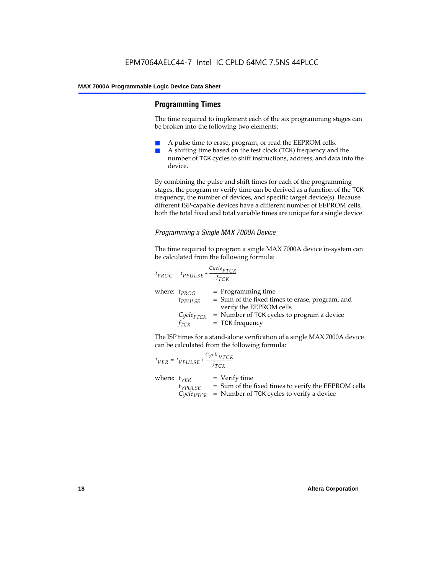#### **Programming Times**

The time required to implement each of the six programming stages can be broken into the following two elements:

- A pulse time to erase, program, or read the EEPROM cells.
- A shifting time based on the test clock (TCK) frequency and the number of TCK cycles to shift instructions, address, and data into the device.

By combining the pulse and shift times for each of the programming stages, the program or verify time can be derived as a function of the TCK frequency, the number of devices, and specific target device(s). Because different ISP-capable devices have a different number of EEPROM cells, both the total fixed and total variable times are unique for a single device.

#### *Programming a Single MAX 7000A Device*

The time required to program a single MAX 7000A device in-system can be calculated from the following formula:

$$
t_{PROG} = t_{PPULSE} + \frac{c_{ycle_{PTCK}}}{f_{TCK}}
$$
  
where:  $t_{PROG}$  = Programming time  
 $t_{PPULSE}$  = Sum of the fixed times to erase, program, and  
verify the EEPROM cells  
 $C_{ycle_{PTCK}}$  = Number of TCK cycles to program a device  
 $f_{TCK}$  = TCK frequency

The ISP times for a stand-alone verification of a single MAX 7000A device can be calculated from the following formula:

| $t_{VER} = t_{VPULSE} + \frac{Cycle_{VTCK}}{f_{TCK}}$ |                                                                                                                                 |
|-------------------------------------------------------|---------------------------------------------------------------------------------------------------------------------------------|
| where: $t_{VER}$<br>$t_{VPULSE}$                      | $=$ Verify time<br>= Sum of the fixed times to verify the EEPROM cells<br>$CycleVTCK$ = Number of TCK cycles to verify a device |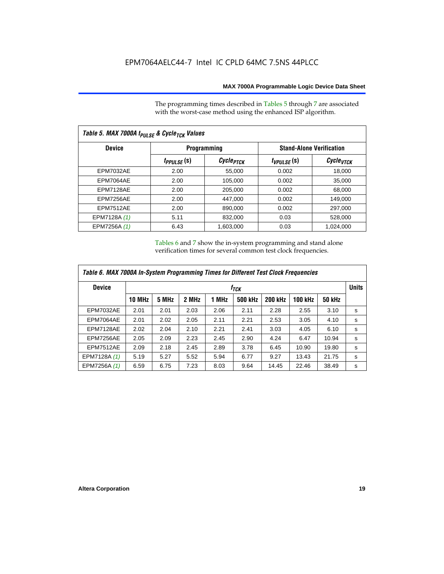The programming times described in Tables 5 through 7 are associated with the worst-case method using the enhanced ISP algorithm.

| Table 5. MAX 7000A t <sub>PULSE</sub> & Cycle <sub>TCK</sub> Values |                 |                       |                                 |                       |  |  |  |  |
|---------------------------------------------------------------------|-----------------|-----------------------|---------------------------------|-----------------------|--|--|--|--|
| <b>Device</b>                                                       |                 | <b>Programming</b>    | <b>Stand-Alone Verification</b> |                       |  |  |  |  |
|                                                                     | $t_{PPULSE}(s)$ | Cycle <sub>PTCK</sub> | $t_{VPULSE}(s)$                 | Cycle <sub>vTCK</sub> |  |  |  |  |
| <b>EPM7032AE</b>                                                    | 2.00            | 55,000                | 0.002                           | 18,000                |  |  |  |  |
| EPM7064AE                                                           | 2.00            | 105,000               | 0.002                           | 35,000                |  |  |  |  |
| EPM7128AE                                                           | 2.00            | 205,000               | 0.002                           | 68,000                |  |  |  |  |
| EPM7256AE                                                           | 2.00            | 447,000               | 0.002                           | 149.000               |  |  |  |  |
| <b>EPM7512AE</b>                                                    | 2.00            | 890,000               | 0.002                           | 297,000               |  |  |  |  |
| EPM7128A (1)                                                        | 5.11            | 832,000               | 0.03                            | 528,000               |  |  |  |  |
| EPM7256A (1)                                                        | 6.43            | 1.603.000             | 0.03                            | 1,024,000             |  |  |  |  |

Tables 6 and 7 show the in-system programming and stand alone verification times for several common test clock frequencies.

| Table 6. MAX 7000A In-System Programming Times for Different Test Clock Frequencies |               |                  |       |       |                |                |                |               |   |
|-------------------------------------------------------------------------------------|---------------|------------------|-------|-------|----------------|----------------|----------------|---------------|---|
| <b>Device</b>                                                                       |               | f <sub>ТСК</sub> |       |       |                |                |                |               |   |
|                                                                                     | <b>10 MHz</b> | 5 MHz            | 2 MHz | 1 MHz | <b>500 kHz</b> | <b>200 kHz</b> | <b>100 kHz</b> | <b>50 kHz</b> |   |
| <b>EPM7032AE</b>                                                                    | 2.01          | 2.01             | 2.03  | 2.06  | 2.11           | 2.28           | 2.55           | 3.10          | s |
| EPM7064AE                                                                           | 2.01          | 2.02             | 2.05  | 2.11  | 2.21           | 2.53           | 3.05           | 4.10          | s |
| EPM7128AE                                                                           | 2.02          | 2.04             | 2.10  | 2.21  | 2.41           | 3.03           | 4.05           | 6.10          | s |
| EPM7256AE                                                                           | 2.05          | 2.09             | 2.23  | 2.45  | 2.90           | 4.24           | 6.47           | 10.94         | s |
| <b>EPM7512AE</b>                                                                    | 2.09          | 2.18             | 2.45  | 2.89  | 3.78           | 6.45           | 10.90          | 19.80         | s |
| EPM7128A (1)                                                                        | 5.19          | 5.27             | 5.52  | 5.94  | 6.77           | 9.27           | 13.43          | 21.75         | s |
| EPM7256A (1)                                                                        | 6.59          | 6.75             | 7.23  | 8.03  | 9.64           | 14.45          | 22.46          | 38.49         | s |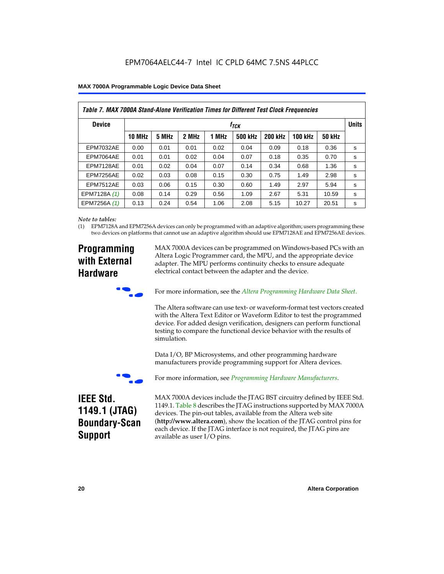| Table 7. MAX 7000A Stand-Alone Verification Times for Different Test Clock Frequencies |               |                               |       |       |                |                |                |               |   |
|----------------------------------------------------------------------------------------|---------------|-------------------------------|-------|-------|----------------|----------------|----------------|---------------|---|
| <b>Device</b>                                                                          |               | <b>Units</b><br>$t_{\rm TCK}$ |       |       |                |                |                |               |   |
|                                                                                        | <b>10 MHz</b> | 5 MHz                         | 2 MHz | 1 MHz | <b>500 kHz</b> | <b>200 kHz</b> | <b>100 kHz</b> | <b>50 kHz</b> |   |
| <b>EPM7032AE</b>                                                                       | 0.00          | 0.01                          | 0.01  | 0.02  | 0.04           | 0.09           | 0.18           | 0.36          | s |
| EPM7064AE                                                                              | 0.01          | 0.01                          | 0.02  | 0.04  | 0.07           | 0.18           | 0.35           | 0.70          | s |
| EPM7128AE                                                                              | 0.01          | 0.02                          | 0.04  | 0.07  | 0.14           | 0.34           | 0.68           | 1.36          | s |
| EPM7256AE                                                                              | 0.02          | 0.03                          | 0.08  | 0.15  | 0.30           | 0.75           | 1.49           | 2.98          | s |
| <b>EPM7512AE</b>                                                                       | 0.03          | 0.06                          | 0.15  | 0.30  | 0.60           | 1.49           | 2.97           | 5.94          | s |
| EPM7128A (1)                                                                           | 0.08          | 0.14                          | 0.29  | 0.56  | 1.09           | 2.67           | 5.31           | 10.59         | s |
| EPM7256A (1)                                                                           | 0.13          | 0.24                          | 0.54  | 1.06  | 2.08           | 5.15           | 10.27          | 20.51         | s |

#### *Note to tables:*

(1) EPM7128A and EPM7256A devices can only be programmed with an adaptive algorithm; users programming these two devices on platforms that cannot use an adaptive algorithm should use EPM7128AE and EPM7256AE devices.

### **Programming with External Hardware**

MAX 7000A devices can be programmed on Windows-based PCs with an Altera Logic Programmer card, the MPU, and the appropriate device adapter. The MPU performs continuity checks to ensure adequate electrical contact between the adapter and the device.



For more information, see the *Altera Programming Hardware Data Sheet*.

The Altera software can use text- or waveform-format test vectors created with the Altera Text Editor or Waveform Editor to test the programmed device. For added design verification, designers can perform functional testing to compare the functional device behavior with the results of simulation.

Data I/O, BP Microsystems, and other programming hardware manufacturers provide programming support for Altera devices.



For more information, see *Programming Hardware Manufacturers*.

### **IEEE Std. 1149.1 (JTAG) Boundary-Scan Support**

MAX 7000A devices include the JTAG BST circuitry defined by IEEE Std. 1149.1. Table 8 describes the JTAG instructions supported by MAX 7000A devices. The pin-out tables, available from the Altera web site (**http://www.altera.com**), show the location of the JTAG control pins for each device. If the JTAG interface is not required, the JTAG pins are available as user I/O pins.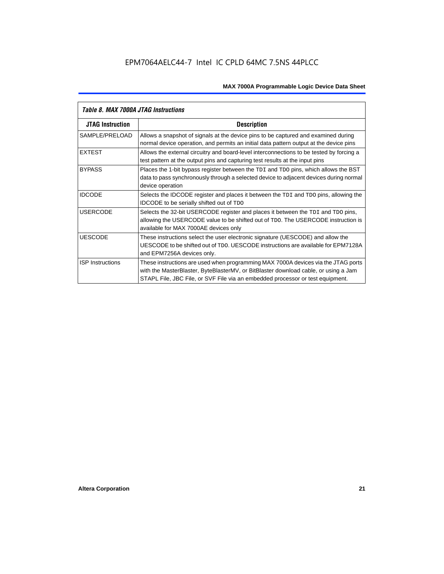| Table 8. MAX 7000A JTAG Instructions |                                                                                                                                                                                                                                                            |  |  |  |  |  |
|--------------------------------------|------------------------------------------------------------------------------------------------------------------------------------------------------------------------------------------------------------------------------------------------------------|--|--|--|--|--|
| <b>JTAG Instruction</b>              | <b>Description</b>                                                                                                                                                                                                                                         |  |  |  |  |  |
| SAMPLE/PRELOAD                       | Allows a snapshot of signals at the device pins to be captured and examined during<br>normal device operation, and permits an initial data pattern output at the device pins                                                                               |  |  |  |  |  |
| <b>EXTEST</b>                        | Allows the external circuitry and board-level interconnections to be tested by forcing a<br>test pattern at the output pins and capturing test results at the input pins                                                                                   |  |  |  |  |  |
| <b>BYPASS</b>                        | Places the 1-bit bypass register between the TDI and TDO pins, which allows the BST<br>data to pass synchronously through a selected device to adjacent devices during normal<br>device operation                                                          |  |  |  |  |  |
| <b>IDCODE</b>                        | Selects the IDCODE register and places it between the TDI and TDO pins, allowing the<br><b>IDCODE</b> to be serially shifted out of TDO                                                                                                                    |  |  |  |  |  |
| <b>USERCODE</b>                      | Selects the 32-bit USERCODE register and places it between the TDI and TDO pins,<br>allowing the USERCODE value to be shifted out of TDO. The USERCODE instruction is<br>available for MAX 7000AE devices only                                             |  |  |  |  |  |
| <b>UESCODE</b>                       | These instructions select the user electronic signature (UESCODE) and allow the<br>UESCODE to be shifted out of TDO, UESCODE instructions are available for EPM7128A<br>and EPM7256A devices only.                                                         |  |  |  |  |  |
| <b>ISP Instructions</b>              | These instructions are used when programming MAX 7000A devices via the JTAG ports<br>with the MasterBlaster, ByteBlasterMV, or BitBlaster download cable, or using a Jam<br>STAPL File, JBC File, or SVF File via an embedded processor or test equipment. |  |  |  |  |  |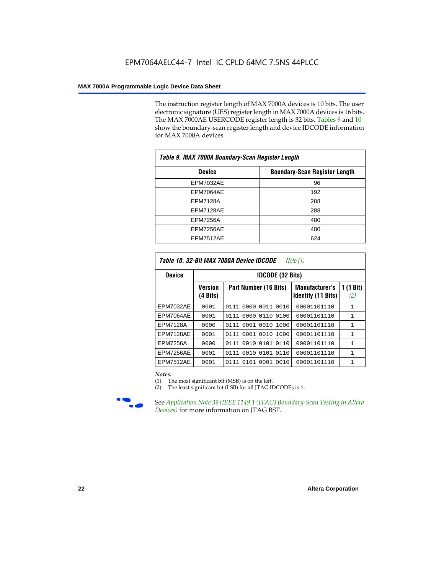The instruction register length of MAX 7000A devices is 10 bits. The user electronic signature (UES) register length in MAX 7000A devices is 16 bits. The MAX 7000AE USERCODE register length is 32 bits. Tables 9 and 10 show the boundary-scan register length and device IDCODE information for MAX 7000A devices.

| Table 9. MAX 7000A Boundary-Scan Register Length |                                      |  |  |  |  |  |
|--------------------------------------------------|--------------------------------------|--|--|--|--|--|
| <b>Device</b>                                    | <b>Boundary-Scan Register Length</b> |  |  |  |  |  |
| <b>EPM7032AE</b>                                 | 96                                   |  |  |  |  |  |
| EPM7064AE                                        | 192                                  |  |  |  |  |  |
| <b>EPM7128A</b>                                  | 288                                  |  |  |  |  |  |
| EPM7128AE                                        | 288                                  |  |  |  |  |  |
| <b>EPM7256A</b>                                  | 480                                  |  |  |  |  |  |
| EPM7256AE                                        | 480                                  |  |  |  |  |  |
| EPM7512AE                                        | 624                                  |  |  |  |  |  |

| Table 10. 32-Bit MAX 7000A Device IDCODE<br>Note (1) |                                      |                           |                                                    |                               |  |  |  |  |  |
|------------------------------------------------------|--------------------------------------|---------------------------|----------------------------------------------------|-------------------------------|--|--|--|--|--|
| <b>Device</b>                                        |                                      | <b>IDCODE (32 Bits)</b>   |                                                    |                               |  |  |  |  |  |
|                                                      | <b>Version</b><br>$(4 \text{ Bits})$ | Part Number (16 Bits)     | <b>Manufacturer's</b><br><b>Identity (11 Bits)</b> | $(1 \text{ Bit})$<br>1<br>(2) |  |  |  |  |  |
| <b>EPM7032AE</b>                                     | 0001                                 | 0111<br>0000 0011 0010    | 00001101110                                        | 1                             |  |  |  |  |  |
| EPM7064AE                                            | 0001                                 | 0111 0000 0110 0100       | 00001101110                                        | 1                             |  |  |  |  |  |
| <b>EPM7128A</b>                                      | 0000                                 | 0111 0001 0010 1000       | 00001101110                                        | $\mathbf{1}$                  |  |  |  |  |  |
| EPM7128AE                                            | 0001                                 | 0111 0001 0010 1000       | 00001101110                                        | 1                             |  |  |  |  |  |
| <b>EPM7256A</b>                                      | 0000                                 | 0010 0101<br>0110<br>0111 | 00001101110                                        | $\mathbf{1}$                  |  |  |  |  |  |
| EPM7256AE                                            | 0001                                 | 0010 0101 0110<br>0111    | 00001101110                                        | $\mathbf{1}$                  |  |  |  |  |  |
| <b>EPM7512AE</b>                                     | 0001                                 | 0111 0101 0001 0010       | 00001101110                                        | $\mathbf{1}$                  |  |  |  |  |  |

#### *Notes:*

(1) The most significant bit (MSB) is on the left.

(2) The least significant bit (LSB) for all JTAG IDCODEs is 1.



**f See Application Note 39 (IEEE 1149.1 (JTAG) Boundary-Scan Testing in Altera** *Devices)* for more information on JTAG BST.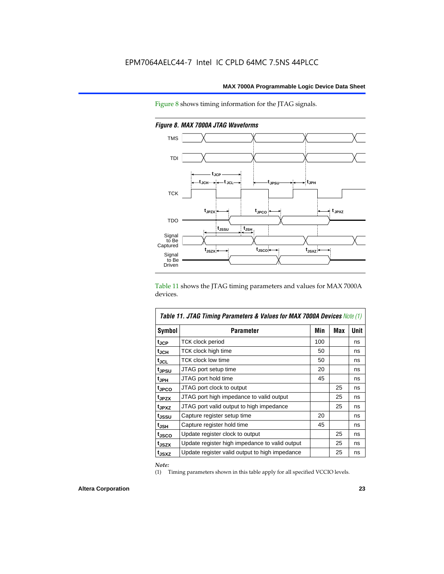Figure 8 shows timing information for the JTAG signals.



*Figure 8. MAX 7000A JTAG Waveforms*

Table 11 shows the JTAG timing parameters and values for MAX 7000A devices.

| <b>Table 11. JTAG Timing Parameters &amp; Values for MAX 7000A Devices Note (1)</b> |                                                |     |     |             |  |  |  |
|-------------------------------------------------------------------------------------|------------------------------------------------|-----|-----|-------------|--|--|--|
| <b>Symbol</b>                                                                       | <b>Parameter</b>                               | Min | Max | <b>Unit</b> |  |  |  |
| t <sub>JCP</sub>                                                                    | TCK clock period                               | 100 |     | ns          |  |  |  |
| tjch                                                                                | TCK clock high time                            | 50  |     | ns          |  |  |  |
| tjcl                                                                                | TCK clock low time                             | 50  |     | ns          |  |  |  |
| tjpsu                                                                               | JTAG port setup time                           | 20  |     | ns          |  |  |  |
| t <sub>JPH</sub>                                                                    | JTAG port hold time                            | 45  |     | ns          |  |  |  |
| t <sub>JPCO</sub>                                                                   | JTAG port clock to output                      |     | 25  | ns          |  |  |  |
| t <sub>JPZX</sub>                                                                   | JTAG port high impedance to valid output       |     | 25  | ns          |  |  |  |
| t <sub>JPXZ</sub>                                                                   | JTAG port valid output to high impedance       |     | 25  | ns          |  |  |  |
| tjssu                                                                               | Capture register setup time                    | 20  |     | ns          |  |  |  |
| $t_{JSH}$                                                                           | Capture register hold time                     | 45  |     | ns          |  |  |  |
| t <sub>JSCO</sub>                                                                   | Update register clock to output                |     | 25  | ns          |  |  |  |
| t <sub>JSZX</sub>                                                                   | Update register high impedance to valid output |     | 25  | ns          |  |  |  |
| t <sub>JSXZ</sub>                                                                   | Update register valid output to high impedance |     | 25  | ns          |  |  |  |

*Note:*

(1) Timing parameters shown in this table apply for all specified VCCIO levels.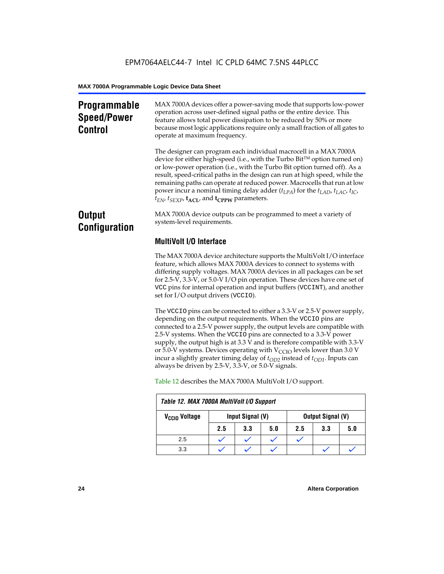### **Programmable Speed/Power Control**

MAX 7000A devices offer a power-saving mode that supports low-power operation across user-defined signal paths or the entire device. This feature allows total power dissipation to be reduced by 50% or more because most logic applications require only a small fraction of all gates to operate at maximum frequency.

The designer can program each individual macrocell in a MAX 7000A device for either high-speed (i.e., with the Turbo  $Bit^{TM}$  option turned on) or low-power operation (i.e., with the Turbo Bit option turned off). As a result, speed-critical paths in the design can run at high speed, while the remaining paths can operate at reduced power. Macrocells that run at low power incur a nominal timing delay adder (*tLPA*) for the *tLAD*, *tLAC*, *tIC*,  $t_{EN}$ ,  $t_{SEXP}$ ,  $t_{ACL}$ , and  $t_{CPPW}$  parameters.

### **Output Configuration**

MAX 7000A device outputs can be programmed to meet a variety of system-level requirements.

### **MultiVolt I/O Interface**

The MAX 7000A device architecture supports the MultiVolt I/O interface feature, which allows MAX 7000A devices to connect to systems with differing supply voltages. MAX 7000A devices in all packages can be set for 2.5-V, 3.3-V, or 5.0-V I/O pin operation. These devices have one set of VCC pins for internal operation and input buffers (VCCINT), and another set for I/O output drivers (VCCIO).

The VCCIO pins can be connected to either a 3.3-V or 2.5-V power supply, depending on the output requirements. When the VCCIO pins are connected to a 2.5-V power supply, the output levels are compatible with 2.5-V systems. When the VCCIO pins are connected to a 3.3-V power supply, the output high is at 3.3 V and is therefore compatible with 3.3-V or 5.0-V systems. Devices operating with  $V_{\text{CCIO}}$  levels lower than 3.0 V incur a slightly greater timing delay of  $t_{OD2}$  instead of  $t_{OD1}$ . Inputs can always be driven by 2.5-V, 3.3-V, or 5.0-V signals.

| Table 12. MAX 7000A MultiVolt I/O Support |     |                  |     |     |                          |     |  |  |  |
|-------------------------------------------|-----|------------------|-----|-----|--------------------------|-----|--|--|--|
| V <sub>CCIO</sub> Voltage                 |     | Input Signal (V) |     |     | <b>Output Signal (V)</b> |     |  |  |  |
|                                           | 2.5 | 3.3              | 5.0 | 2.5 | 3.3                      | 5.0 |  |  |  |
| 2.5                                       |     |                  |     |     |                          |     |  |  |  |
| 3.3                                       |     |                  |     |     |                          |     |  |  |  |

Table 12 describes the MAX 7000A MultiVolt I/O support.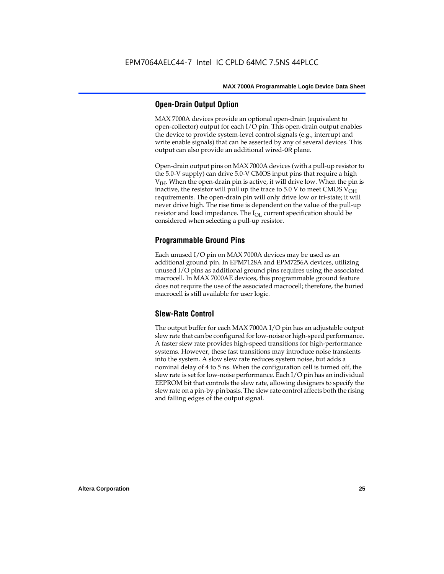#### **Open-Drain Output Option**

MAX 7000A devices provide an optional open-drain (equivalent to open-collector) output for each I/O pin. This open-drain output enables the device to provide system-level control signals (e.g., interrupt and write enable signals) that can be asserted by any of several devices. This output can also provide an additional wired-OR plane.

Open-drain output pins on MAX 7000A devices (with a pull-up resistor to the 5.0-V supply) can drive 5.0-V CMOS input pins that require a high  $V<sub>IH</sub>$ . When the open-drain pin is active, it will drive low. When the pin is inactive, the resistor will pull up the trace to 5.0 V to meet CMOS  $V_{OH}$ requirements. The open-drain pin will only drive low or tri-state; it will never drive high. The rise time is dependent on the value of the pull-up resistor and load impedance. The  $I_{OL}$  current specification should be considered when selecting a pull-up resistor.

#### **Programmable Ground Pins**

Each unused I/O pin on MAX 7000A devices may be used as an additional ground pin. In EPM7128A and EPM7256A devices, utilizing unused I/O pins as additional ground pins requires using the associated macrocell. In MAX 7000AE devices, this programmable ground feature does not require the use of the associated macrocell; therefore, the buried macrocell is still available for user logic.

#### **Slew-Rate Control**

The output buffer for each MAX 7000A I/O pin has an adjustable output slew rate that can be configured for low-noise or high-speed performance. A faster slew rate provides high-speed transitions for high-performance systems. However, these fast transitions may introduce noise transients into the system. A slow slew rate reduces system noise, but adds a nominal delay of 4 to 5 ns. When the configuration cell is turned off, the slew rate is set for low-noise performance. Each I/O pin has an individual EEPROM bit that controls the slew rate, allowing designers to specify the slew rate on a pin-by-pin basis. The slew rate control affects both the rising and falling edges of the output signal.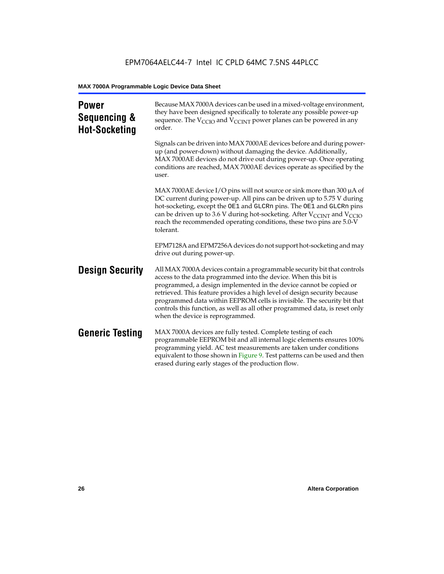| <b>Power</b><br>Sequencing &<br><b>Hot-Socketing</b> | Because MAX 7000A devices can be used in a mixed-voltage environment,<br>they have been designed specifically to tolerate any possible power-up<br>sequence. The $V_{\text{CCIO}}$ and $V_{\text{CCINT}}$ power planes can be powered in any<br>order.                                                                                                                                                                                                                                     |
|------------------------------------------------------|--------------------------------------------------------------------------------------------------------------------------------------------------------------------------------------------------------------------------------------------------------------------------------------------------------------------------------------------------------------------------------------------------------------------------------------------------------------------------------------------|
|                                                      | Signals can be driven into MAX 7000AE devices before and during power-<br>up (and power-down) without damaging the device. Additionally,<br>MAX 7000AE devices do not drive out during power-up. Once operating<br>conditions are reached, MAX 7000AE devices operate as specified by the<br>user.                                                                                                                                                                                         |
|                                                      | MAX 7000AE device I/O pins will not source or sink more than 300 $\mu$ A of<br>DC current during power-up. All pins can be driven up to 5.75 V during<br>hot-socketing, except the OE1 and GLCRn pins. The OE1 and GLCRn pins<br>can be driven up to 3.6 V during hot-socketing. After $V_{\text{CCINT}}$ and $V_{\text{CCIO}}$<br>reach the recommended operating conditions, these two pins are 5.0-V<br>tolerant.                                                                       |
|                                                      | EPM7128A and EPM7256A devices do not support hot-socketing and may<br>drive out during power-up.                                                                                                                                                                                                                                                                                                                                                                                           |
| <b>Design Security</b>                               | All MAX 7000A devices contain a programmable security bit that controls<br>access to the data programmed into the device. When this bit is<br>programmed, a design implemented in the device cannot be copied or<br>retrieved. This feature provides a high level of design security because<br>programmed data within EEPROM cells is invisible. The security bit that<br>controls this function, as well as all other programmed data, is reset only<br>when the device is reprogrammed. |
| <b>Generic Testing</b>                               | MAX 7000A devices are fully tested. Complete testing of each<br>programmable EEPROM bit and all internal logic elements ensures 100%<br>programming yield. AC test measurements are taken under conditions<br>equivalent to those shown in Figure 9. Test patterns can be used and then<br>erased during early stages of the production flow.                                                                                                                                              |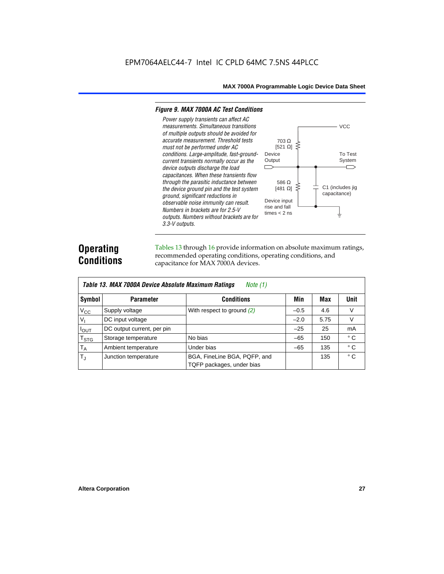#### *Figure 9. MAX 7000A AC Test Conditions*

*3.3-V outputs.*



### **Operating Conditions**

Tables 13 through 16 provide information on absolute maximum ratings, recommended operating conditions, operating conditions, and capacitance for MAX 7000A devices.

|                | Table 13. MAX 7000A Device Absolute Maximum Ratings<br>Note $(1)$ |                                                           |        |      |              |  |  |  |  |  |  |
|----------------|-------------------------------------------------------------------|-----------------------------------------------------------|--------|------|--------------|--|--|--|--|--|--|
| Symbol         | <b>Parameter</b>                                                  | <b>Conditions</b>                                         | Min    | Max  | Unit         |  |  |  |  |  |  |
| $V_{CC}$       | Supply voltage                                                    | With respect to ground $(2)$                              | $-0.5$ | 4.6  | V            |  |  |  |  |  |  |
| V <sub>1</sub> | DC input voltage                                                  |                                                           | $-2.0$ | 5.75 | V            |  |  |  |  |  |  |
| $I_{OUT}$      | DC output current, per pin                                        |                                                           | $-25$  | 25   | mA           |  |  |  |  |  |  |
| $T_{STG}$      | Storage temperature                                               | No bias                                                   | $-65$  | 150  | $^{\circ}$ C |  |  |  |  |  |  |
| $T_A$          | Ambient temperature                                               | Under bias                                                | $-65$  | 135  | ° C          |  |  |  |  |  |  |
| $T_{\rm J}$    | Junction temperature                                              | BGA, FineLine BGA, PQFP, and<br>TQFP packages, under bias |        | 135  | $^{\circ}$ C |  |  |  |  |  |  |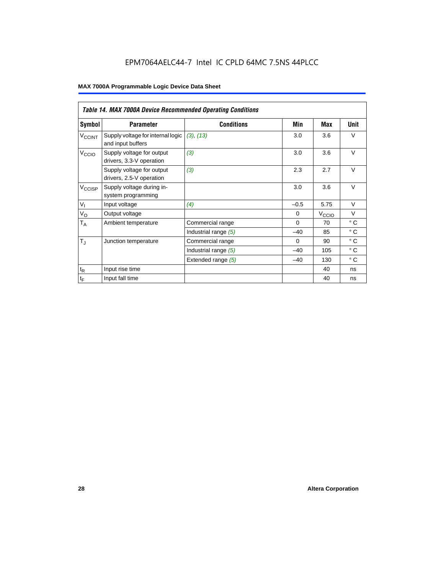### EPM7064AELC44-7 Intel IC CPLD 64MC 7.5NS 44PLCC

|                          | <b>Table 14. MAX 7000A Device Recommended Operating Conditions</b> |                      |          |                   |              |  |  |  |  |  |
|--------------------------|--------------------------------------------------------------------|----------------------|----------|-------------------|--------------|--|--|--|--|--|
| Symbol                   | <b>Parameter</b>                                                   | <b>Conditions</b>    | Min      | Max               | Unit         |  |  |  |  |  |
| <b>V<sub>CCINT</sub></b> | Supply voltage for internal logic<br>and input buffers             | (3), (13)            | 3.0      | 3.6               | $\vee$       |  |  |  |  |  |
| V <sub>CCIO</sub>        | Supply voltage for output<br>drivers, 3.3-V operation              | (3)                  | 3.0      | 3.6               | $\vee$       |  |  |  |  |  |
|                          | Supply voltage for output<br>drivers, 2.5-V operation              | (3)                  | 2.3      | 2.7               | $\vee$       |  |  |  |  |  |
| $V_{\text{CCISP}}$       | Supply voltage during in-<br>system programming                    |                      | 3.0      | 3.6               | $\vee$       |  |  |  |  |  |
| $V_{I}$                  | Input voltage                                                      | (4)                  | $-0.5$   | 5.75              | $\vee$       |  |  |  |  |  |
| $V_{\rm O}$              | Output voltage                                                     |                      | $\Omega$ | V <sub>CCIO</sub> | $\vee$       |  |  |  |  |  |
| $T_A$                    | Ambient temperature                                                | Commercial range     | $\Omega$ | 70                | $^{\circ}$ C |  |  |  |  |  |
|                          |                                                                    | Industrial range (5) | $-40$    | 85                | $^{\circ}$ C |  |  |  |  |  |
| $T_{\rm J}$              | Junction temperature                                               | Commercial range     | $\Omega$ | 90                | $^{\circ}$ C |  |  |  |  |  |
|                          |                                                                    | Industrial range (5) | $-40$    | 105               | $^{\circ}$ C |  |  |  |  |  |
|                          |                                                                    | Extended range (5)   | $-40$    | 130               | $^{\circ}$ C |  |  |  |  |  |
| $t_{\mathsf{R}}$         | Input rise time                                                    |                      |          | 40                | ns           |  |  |  |  |  |
| $t_F$                    | Input fall time                                                    |                      |          | 40                | ns           |  |  |  |  |  |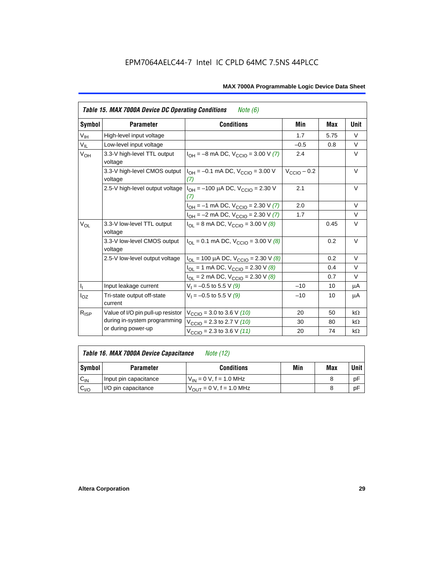|                 | <b>Table 15. MAX 7000A Device DC Operating Conditions</b><br><i>Note</i> $(6)$ |                                                                                        |                         |      |           |  |  |  |  |  |
|-----------------|--------------------------------------------------------------------------------|----------------------------------------------------------------------------------------|-------------------------|------|-----------|--|--|--|--|--|
| Symbol          | <b>Parameter</b>                                                               | <b>Conditions</b>                                                                      | Min                     | Max  | Unit      |  |  |  |  |  |
| $V_{\text{IH}}$ | High-level input voltage                                                       |                                                                                        | 1.7                     | 5.75 | $\vee$    |  |  |  |  |  |
| $V_{IL}$        | Low-level input voltage                                                        |                                                                                        | $-0.5$                  | 0.8  | V         |  |  |  |  |  |
| V <sub>OH</sub> | 3.3-V high-level TTL output<br>voltage                                         | $I_{OH} = -8$ mA DC, $V_{CCIO} = 3.00$ V (7)                                           | 2.4                     |      | V         |  |  |  |  |  |
|                 | 3.3-V high-level CMOS output<br>voltage                                        | $I_{OH} = -0.1$ mA DC, $V_{CCIO} = 3.00$ V<br>(7)                                      | $V_{\text{CCIO}} - 0.2$ |      | $\vee$    |  |  |  |  |  |
|                 |                                                                                | 2.5-V high-level output voltage $ I_{OH} = -100 \mu A DC$ , $V_{CClO} = 2.30 V$<br>(7) | 2.1                     |      | V         |  |  |  |  |  |
|                 |                                                                                | $I_{OH} = -1$ mA DC, $V_{CCIO} = 2.30$ V (7)                                           | 2.0                     |      | $\vee$    |  |  |  |  |  |
|                 |                                                                                | $I_{OH} = -2$ mA DC, $V_{CCIO} = 2.30$ V (7)                                           | 1.7                     |      | $\vee$    |  |  |  |  |  |
| $V_{OL}$        | 3.3-V low-level TTL output<br>voltage                                          | $I_{\text{OI}}$ = 8 mA DC, $V_{\text{CCl}}$ = 3.00 V (8)                               |                         | 0.45 | $\vee$    |  |  |  |  |  |
|                 | 3.3-V low-level CMOS output<br>voltage                                         | $I_{\text{OI}} = 0.1 \text{ mA DC}$ , $V_{\text{CCl}} = 3.00 \text{ V}$ (8)            |                         | 0.2  | V         |  |  |  |  |  |
|                 | 2.5-V low-level output voltage                                                 | $I_{OL}$ = 100 µA DC, $V_{CCIO}$ = 2.30 V (8)                                          |                         | 0.2  | $\vee$    |  |  |  |  |  |
|                 |                                                                                | $I_{OL}$ = 1 mA DC, $V_{CCIO}$ = 2.30 V (8)                                            |                         | 0.4  | $\vee$    |  |  |  |  |  |
|                 |                                                                                | $I_{OL}$ = 2 mA DC, $V_{CCIO}$ = 2.30 V (8)                                            |                         | 0.7  | $\vee$    |  |  |  |  |  |
|                 | Input leakage current                                                          | $V_1 = -0.5$ to 5.5 V (9)                                                              | $-10$                   | 10   | μA        |  |  |  |  |  |
| $I_{OZ}$        | Tri-state output off-state<br>current                                          | $V_1 = -0.5$ to 5.5 V (9)                                                              | $-10$                   | 10   | μA        |  |  |  |  |  |
| $R_{ISP}$       | Value of I/O pin pull-up resistor                                              | $V_{\text{CCIO}}$ = 3.0 to 3.6 V (10)                                                  | 20                      | 50   | $k\Omega$ |  |  |  |  |  |
|                 | during in-system programming                                                   | $V_{\text{CCIO}}$ = 2.3 to 2.7 V (10)                                                  | 30                      | 80   | $k\Omega$ |  |  |  |  |  |
|                 | or during power-up                                                             | $V_{\text{CCIO}} = 2.3$ to 3.6 V (11)                                                  | 20                      | 74   | $k\Omega$ |  |  |  |  |  |

| Table 16. MAX 7000A Device Capacitance | Note (12) |
|----------------------------------------|-----------|

| Symbol    | <b>Parameter</b>      | <b>Conditions</b>                   | Min | Max | Unit |
|-----------|-----------------------|-------------------------------------|-----|-----|------|
| $C_{IN}$  | Input pin capacitance | $V_{IN} = 0$ V, f = 1.0 MHz         |     |     | рF   |
| $v_{I/O}$ | I/O pin capacitance   | $V_{\text{OUT}} = 0 V, f = 1.0 MHz$ |     |     | рF   |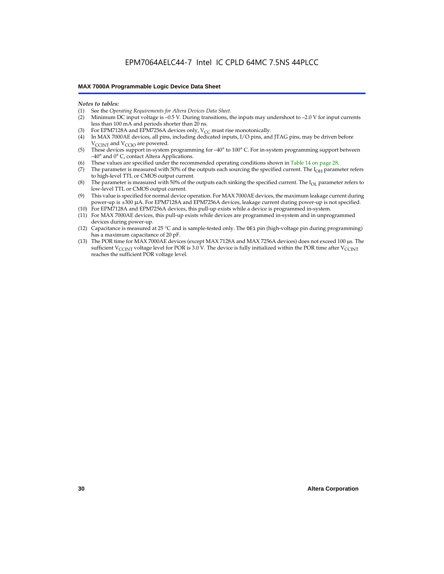#### *Notes to tables:*

- (1) See the *Operating Requirements for Altera Devices Data Sheet.*
- Minimum DC input voltage is –0.5 V. During transitions, the inputs may undershoot to –2.0 V for input currents less than 100 mA and periods shorter than 20 ns.
- (3) For EPM7128A and EPM7256A devices only,  $V_{CC}$  must rise monotonically.
- (4) In MAX 7000AE devices, all pins, including dedicated inputs, I/O pins, and JTAG pins, may be driven before V<sub>CCINT</sub> and V<sub>CCIO</sub> are powered.
- (5) These devices support in-system programming for –40° to 100° C. For in-system programming support between –40° and 0° C, contact Altera Applications.
- (6) These values are specified under the recommended operating conditions shown in Table 14 on page 28.
- (7) The parameter is measured with 50% of the outputs each sourcing the specified current. The  $I_{OH}$  parameter refers to high-level TTL or CMOS output current.
- (8) The parameter is measured with 50% of the outputs each sinking the specified current. The  $I_{OL}$  parameter refers to low-level TTL or CMOS output current.
- (9) This value is specified for normal device operation. For MAX 7000AE devices, the maximum leakage current during power-up is ±300 µA. For EPM7128A and EPM7256A devices, leakage current during power-up is not specified.
- (10) For EPM7128A and EPM7256A devices, this pull-up exists while a device is programmed in-system.
- (11) For MAX 7000AE devices, this pull-up exists while devices are programmed in-system and in unprogrammed devices during power-up.
- (12) Capacitance is measured at 25 °C and is sample-tested only. The OE1 pin (high-voltage pin during programming) has a maximum capacitance of 20 pF.
- (13) The POR time for MAX 7000AE devices (except MAX 7128A and MAX 7256A devices) does not exceed 100 µs. The sufficient V<sub>CCINT</sub> voltage level for POR is 3.0 V. The device is fully initialized within the POR time after V<sub>CCINT</sub> reaches the sufficient POR voltage level.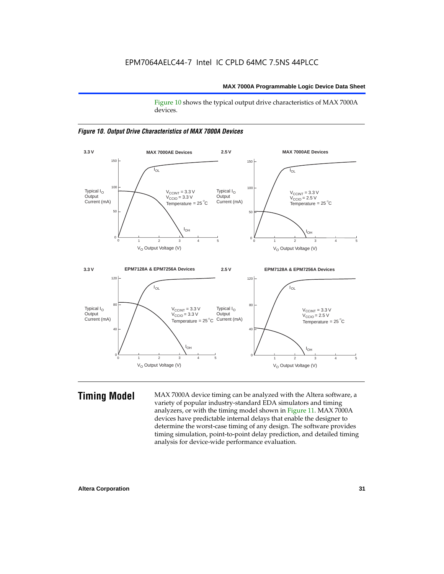Figure 10 shows the typical output drive characteristics of MAX 7000A devices.





**Timing Model** MAX 7000A device timing can be analyzed with the Altera software, a variety of popular industry-standard EDA simulators and timing analyzers, or with the timing model shown in Figure 11. MAX 7000A devices have predictable internal delays that enable the designer to determine the worst-case timing of any design. The software provides timing simulation, point-to-point delay prediction, and detailed timing analysis for device-wide performance evaluation.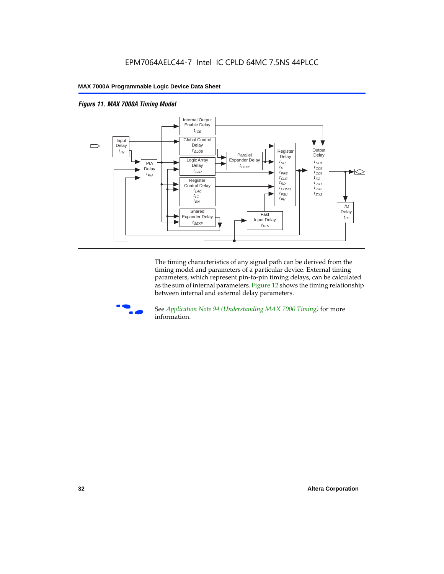



The timing characteristics of any signal path can be derived from the timing model and parameters of a particular device. External timing parameters, which represent pin-to-pin timing delays, can be calculated as the sum of internal parameters. Figure 12 shows the timing relationship between internal and external delay parameters.



f See *Application Note 94 (Understanding MAX 7000 Timing)* for more information.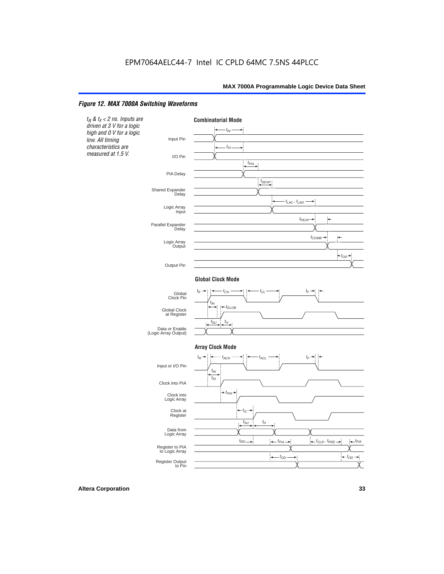#### *Figure 12. MAX 7000A Switching Waveforms*

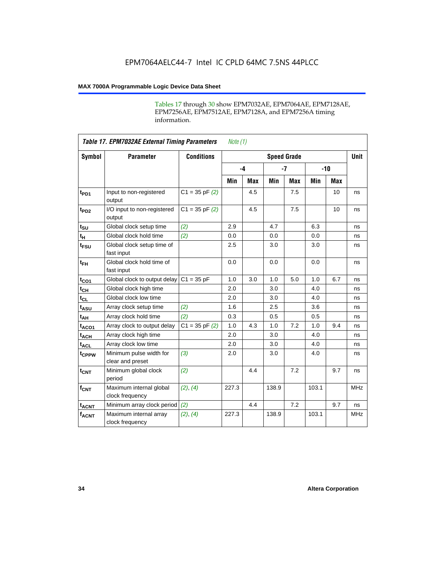Tables 17 through 30 show EPM7032AE, EPM7064AE, EPM7128AE, EPM7256AE, EPM7512AE, EPM7128A, and EPM7256A timing information.

|                         | <b>Table 17. EPM7032AE External Timing Parameters</b><br>Note $(1)$ |                   |       |            |                    |            |       |     |             |
|-------------------------|---------------------------------------------------------------------|-------------------|-------|------------|--------------------|------------|-------|-----|-------------|
| Symbol                  | <b>Parameter</b>                                                    | <b>Conditions</b> |       |            | <b>Speed Grade</b> |            |       |     | <b>Unit</b> |
|                         |                                                                     |                   |       | $-4$       | $-7$               |            | $-10$ |     |             |
|                         |                                                                     |                   | Min   | <b>Max</b> | Min                | <b>Max</b> | Min   | Max |             |
| t <sub>PD1</sub>        | Input to non-registered<br>output                                   | $C1 = 35 pF(2)$   |       | 4.5        |                    | 7.5        |       | 10  | ns          |
| $t_{PD2}$               | I/O input to non-registered<br>output                               | $C1 = 35 pF(2)$   |       | 4.5        |                    | 7.5        |       | 10  | ns          |
| $t_{\text{SU}}$         | Global clock setup time                                             | (2)               | 2.9   |            | 4.7                |            | 6.3   |     | ns          |
| $t_H$                   | Global clock hold time                                              | (2)               | 0.0   |            | 0.0                |            | 0.0   |     | ns          |
| t <sub>FSU</sub>        | Global clock setup time of<br>fast input                            |                   | 2.5   |            | 3.0                |            | 3.0   |     | ns          |
| $t_{FH}$                | Global clock hold time of<br>fast input                             |                   | 0.0   |            | 0.0                |            | 0.0   |     | ns          |
| $t_{CO1}$               | Global clock to output delay                                        | $C1 = 35 pF$      | 1.0   | 3.0        | 1.0                | 5.0        | 1.0   | 6.7 | ns          |
| $t_{CH}$                | Global clock high time                                              |                   | 2.0   |            | 3.0                |            | 4.0   |     | ns          |
| $t_{CL}$                | Global clock low time                                               |                   | 2.0   |            | 3.0                |            | 4.0   |     | ns          |
| t <sub>ASU</sub>        | Array clock setup time                                              | (2)               | 1.6   |            | 2.5                |            | 3.6   |     | ns          |
| t <sub>AH</sub>         | Array clock hold time                                               | (2)               | 0.3   |            | 0.5                |            | 0.5   |     | ns          |
| $t_{ACQ1}$              | Array clock to output delay                                         | $C1 = 35 pF(2)$   | 1.0   | 4.3        | 1.0                | 7.2        | 1.0   | 9.4 | ns          |
| $t_{ACH}$               | Array clock high time                                               |                   | 2.0   |            | 3.0                |            | 4.0   |     | ns          |
| $t_{\text{ACL}}$        | Array clock low time                                                |                   | 2.0   |            | 3.0                |            | 4.0   |     | ns          |
| t <sub>CPPW</sub>       | Minimum pulse width for<br>clear and preset                         | (3)               | 2.0   |            | 3.0                |            | 4.0   |     | ns          |
| $t_{\text{CNT}}$        | Minimum global clock<br>period                                      | (2)               |       | 4.4        |                    | 7.2        |       | 9.7 | ns          |
| $f_{CNT}$               | Maximum internal global<br>clock frequency                          | (2), (4)          | 227.3 |            | 138.9              |            | 103.1 |     | <b>MHz</b>  |
| <b>t<sub>ACNT</sub></b> | Minimum array clock period                                          | (2)               |       | 4.4        |                    | 7.2        |       | 9.7 | ns          |
| <b>fACNT</b>            | Maximum internal array<br>clock frequency                           | (2), (4)          | 227.3 |            | 138.9              |            | 103.1 |     | <b>MHz</b>  |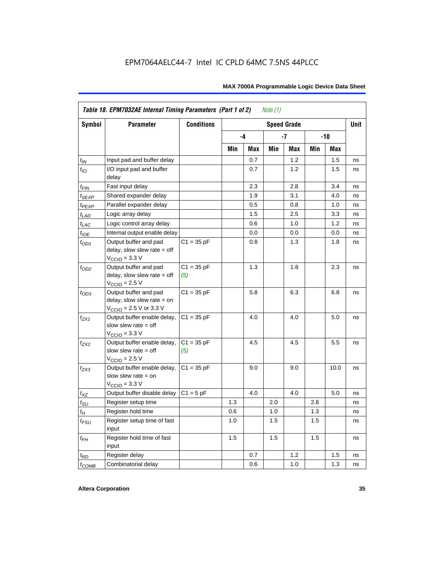|                    | Table 18. EPM7032AE Internal Timing Parameters (Part 1 of 2)<br>Note $(1)$                                   |                     |     |      |     |                    |       |      |             |  |
|--------------------|--------------------------------------------------------------------------------------------------------------|---------------------|-----|------|-----|--------------------|-------|------|-------------|--|
| <b>Symbol</b>      | <b>Parameter</b>                                                                                             | <b>Conditions</b>   |     |      |     | <b>Speed Grade</b> |       |      | <b>Unit</b> |  |
|                    |                                                                                                              |                     |     | $-4$ |     | -7                 | $-10$ |      |             |  |
|                    |                                                                                                              |                     | Min | Max  | Min | Max                | Min   | Max  |             |  |
| $t_{IN}$           | Input pad and buffer delay                                                                                   |                     |     | 0.7  |     | 1.2                |       | 1.5  | ns          |  |
| $t_{IO}$           | I/O input pad and buffer<br>delay                                                                            |                     |     | 0.7  |     | 1.2                |       | 1.5  | ns          |  |
| $t_{\sf FIN}$      | Fast input delay                                                                                             |                     |     | 2.3  |     | 2.8                |       | 3.4  | ns          |  |
| $t_{SEXP}$         | Shared expander delay                                                                                        |                     |     | 1.9  |     | 3.1                |       | 4.0  | ns          |  |
| t <sub>PEXP</sub>  | Parallel expander delay                                                                                      |                     |     | 0.5  |     | 0.8                |       | 1.0  | ns          |  |
| $t_{LAD}$          | Logic array delay                                                                                            |                     |     | 1.5  |     | 2.5                |       | 3.3  | ns          |  |
| $t_{LAC}$          | Logic control array delay                                                                                    |                     |     | 0.6  |     | 1.0                |       | 1.2  | ns          |  |
| $t_{IOE}$          | Internal output enable delay                                                                                 |                     |     | 0.0  |     | 0.0                |       | 0.0  | ns          |  |
| $t_{OD1}$          | Output buffer and pad<br>delay, slow slew rate $=$ off<br>$V_{\text{CCIO}} = 3.3 \text{ V}$                  | $C1 = 35 pF$        |     | 0.8  |     | 1.3                |       | 1.8  | ns          |  |
| $t_{OD2}$          | Output buffer and pad<br>delay, slow slew rate $=$ off<br>$V_{\text{CCIO}}$ = 2.5 V                          | $C1 = 35 pF$<br>(5) |     | 1.3  |     | 1.8                |       | 2.3  | ns          |  |
| $t_{OD3}$          | Output buffer and pad<br>delay, slow slew rate $=$ on<br>$V_{\text{CCIO}} = 2.5 \text{ V or } 3.3 \text{ V}$ | $C1 = 35 pF$        |     | 5.8  |     | 6.3                |       | 6.8  | ns          |  |
| $t_{ZX1}$          | Output buffer enable delay,<br>slow slew rate $=$ off<br>$VCCIO = 3.3 V$                                     | $C1 = 35 pF$        |     | 4.0  |     | 4.0                |       | 5.0  | ns          |  |
| $t_{ZX2}$          | Output buffer enable delay,<br>slow slew rate = off<br>$V_{\text{CCIO}} = 2.5 V$                             | $C1 = 35 pF$<br>(5) |     | 4.5  |     | 4.5                |       | 5.5  | ns          |  |
| $t_{ZX3}$          | Output buffer enable delay,<br>slow slew rate = on<br>$VCCIO = 3.3 V$                                        | $C1 = 35 pF$        |     | 9.0  |     | 9.0                |       | 10.0 | ns          |  |
| $t_{XZ}$           | Output buffer disable delay                                                                                  | $C1 = 5$ pF         |     | 4.0  |     | 4.0                |       | 5.0  | ns          |  |
| $t_{\text{SU}}$    | Register setup time                                                                                          |                     | 1.3 |      | 2.0 |                    | 2.8   |      | ns          |  |
| $t_H$              | Register hold time                                                                                           |                     | 0.6 |      | 1.0 |                    | 1.3   |      | ns          |  |
| $t_{\mathit{FSU}}$ | Register setup time of fast<br>input                                                                         |                     | 1.0 |      | 1.5 |                    | 1.5   |      | ns          |  |
| $t_{FH}$           | Register hold time of fast<br>input                                                                          |                     | 1.5 |      | 1.5 |                    | 1.5   |      | ns          |  |
| $t_{RD}$           | Register delay                                                                                               |                     |     | 0.7  |     | 1.2                |       | 1.5  | ns          |  |
| $t_{COMB}$         | Combinatorial delay                                                                                          |                     |     | 0.6  |     | 1.0                |       | 1.3  | ns          |  |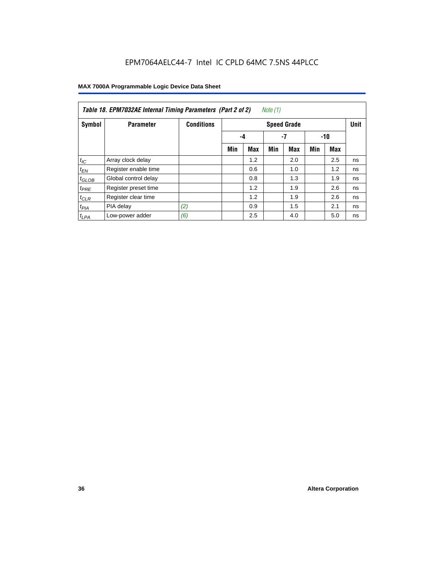| Table 18. EPM7032AE Internal Timing Parameters (Part 2 of 2)<br>Note (1) |                      |                   |                    |     |     |     |     |     |             |
|--------------------------------------------------------------------------|----------------------|-------------------|--------------------|-----|-----|-----|-----|-----|-------------|
| Symbol                                                                   | <b>Parameter</b>     | <b>Conditions</b> | <b>Speed Grade</b> |     |     |     |     |     | <b>Unit</b> |
|                                                                          |                      |                   |                    | -4  |     | -7  |     | -10 |             |
|                                                                          |                      |                   | Min                | Max | Min | Max | Min | Max |             |
| $t_{IC}$                                                                 | Array clock delay    |                   |                    | 1.2 |     | 2.0 |     | 2.5 | ns          |
| $t_{EN}$                                                                 | Register enable time |                   |                    | 0.6 |     | 1.0 |     | 1.2 | ns          |
| $t_{GLOB}$                                                               | Global control delay |                   |                    | 0.8 |     | 1.3 |     | 1.9 | ns          |
| $t_{PRE}$                                                                | Register preset time |                   |                    | 1.2 |     | 1.9 |     | 2.6 | ns          |
| $t_{CLR}$                                                                | Register clear time  |                   |                    | 1.2 |     | 1.9 |     | 2.6 | ns          |
| t <sub>PIA</sub>                                                         | PIA delay            | (2)               |                    | 0.9 |     | 1.5 |     | 2.1 | ns          |
| $t_{LPA}$                                                                | Low-power adder      | (6)               |                    | 2.5 |     | 4.0 |     | 5.0 | ns          |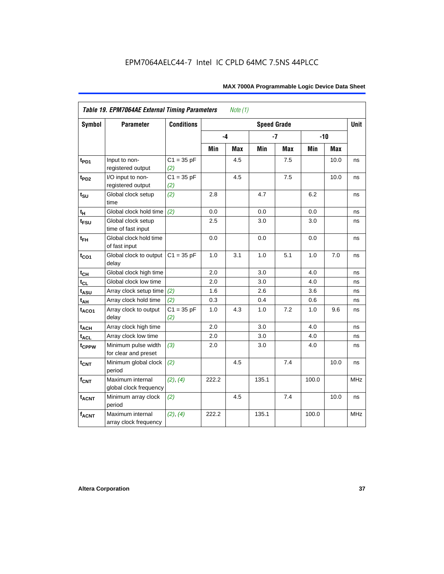| <b>Symbol</b>     | <b>Parameter</b>                            | <b>Conditions</b>   |       |     | <b>Speed Grade</b> |            |       |            | <b>Unit</b> |
|-------------------|---------------------------------------------|---------------------|-------|-----|--------------------|------------|-------|------------|-------------|
|                   |                                             |                     | -4    |     |                    | $-7$       |       | $-10$      |             |
|                   |                                             |                     | Min   | Max | Min                | <b>Max</b> | Min   | <b>Max</b> |             |
| $t_{PD1}$         | Input to non-<br>registered output          | $C1 = 35 pF$<br>(2) |       | 4.5 |                    | 7.5        |       | 10.0       | ns          |
| t <sub>PD2</sub>  | I/O input to non-<br>registered output      | $C1 = 35 pF$<br>(2) |       | 4.5 |                    | 7.5        |       | 10.0       | ns          |
| $t_{\text{SU}}$   | Global clock setup<br>time                  | (2)                 | 2.8   |     | 4.7                |            | 6.2   |            | ns          |
| tμ                | Global clock hold time                      | (2)                 | 0.0   |     | 0.0                |            | 0.0   |            | ns          |
| $t_{FSU}$         | Global clock setup<br>time of fast input    |                     | 2.5   |     | 3.0                |            | 3.0   |            | ns          |
| $t_{FH}$          | Global clock hold time<br>of fast input     |                     | 0.0   |     | 0.0                |            | 0.0   |            | ns          |
| $t_{CO1}$         | Global clock to output<br>delay             | $C1 = 35 pF$        | 1.0   | 3.1 | 1.0                | 5.1        | 1.0   | 7.0        | ns          |
| $t_{CH}$          | Global clock high time                      |                     | 2.0   |     | 3.0                |            | 4.0   |            | ns          |
| $t_{CL}$          | Global clock low time                       |                     | 2.0   |     | 3.0                |            | 4.0   |            | ns          |
| t <sub>ASU</sub>  | Array clock setup time                      | (2)                 | 1.6   |     | 2.6                |            | 3.6   |            | ns          |
| $t_{AH}$          | Array clock hold time                       | (2)                 | 0.3   |     | 0.4                |            | 0.6   |            | ns          |
| t <sub>ACO1</sub> | Array clock to output<br>delay              | $C1 = 35 pF$<br>(2) | 1.0   | 4.3 | 1.0                | 7.2        | 1.0   | 9.6        | ns          |
| $t_{ACH}$         | Array clock high time                       |                     | 2.0   |     | 3.0                |            | 4.0   |            | ns          |
| t <sub>ACL</sub>  | Array clock low time                        |                     | 2.0   |     | 3.0                |            | 4.0   |            | ns          |
| t <sub>CPPW</sub> | Minimum pulse width<br>for clear and preset | (3)                 | 2.0   |     | 3.0                |            | 4.0   |            | ns          |
| $t_{CNT}$         | Minimum global clock<br>period              | (2)                 |       | 4.5 |                    | 7.4        |       | 10.0       | ns          |
| $f_{CNT}$         | Maximum internal<br>global clock frequency  | (2), (4)            | 222.2 |     | 135.1              |            | 100.0 |            | <b>MHz</b>  |
| $t_{ACNT}$        | Minimum array clock<br>period               | (2)                 |       | 4.5 |                    | 7.4        |       | 10.0       | ns          |
| <b>fACNT</b>      | Maximum internal<br>array clock frequency   | (2), (4)            | 222.2 |     | 135.1              |            | 100.0 |            | <b>MHz</b>  |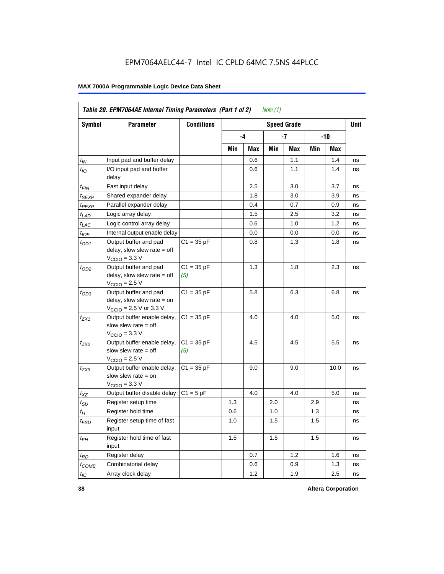|                   | Table 20. EPM7064AE Internal Timing Parameters (Part 1 of 2)<br><i>Note</i> $(1)$                            |                     |     |      |     |                    |       |      |      |  |
|-------------------|--------------------------------------------------------------------------------------------------------------|---------------------|-----|------|-----|--------------------|-------|------|------|--|
| Symbol            | <b>Parameter</b>                                                                                             | <b>Conditions</b>   |     |      |     | <b>Speed Grade</b> |       |      | Unit |  |
|                   |                                                                                                              |                     |     | $-4$ |     | -7                 | $-10$ |      |      |  |
|                   |                                                                                                              |                     | Min | Max  | Min | Max                | Min   | Max  |      |  |
| $t_{IN}$          | Input pad and buffer delay                                                                                   |                     |     | 0.6  |     | 1.1                |       | 1.4  | ns   |  |
| $t_{IO}$          | I/O input pad and buffer<br>delay                                                                            |                     |     | 0.6  |     | 1.1                |       | 1.4  | ns   |  |
| $t_{FIN}$         | Fast input delay                                                                                             |                     |     | 2.5  |     | 3.0                |       | 3.7  | ns   |  |
| t <sub>SEXP</sub> | Shared expander delay                                                                                        |                     |     | 1.8  |     | 3.0                |       | 3.9  | ns   |  |
| t <sub>PEXP</sub> | Parallel expander delay                                                                                      |                     |     | 0.4  |     | 0.7                |       | 0.9  | ns   |  |
| $t_{LAD}$         | Logic array delay                                                                                            |                     |     | 1.5  |     | 2.5                |       | 3.2  | ns   |  |
| $t_{LAC}$         | Logic control array delay                                                                                    |                     |     | 0.6  |     | 1.0                |       | 1.2  | ns   |  |
| $t_{IOE}$         | Internal output enable delay                                                                                 |                     |     | 0.0  |     | 0.0                |       | 0.0  | ns   |  |
| $t_{OD1}$         | Output buffer and pad<br>delay, slow slew rate $=$ off<br>$V_{\text{CCIO}} = 3.3 \text{ V}$                  | $C1 = 35 pF$        |     | 0.8  |     | 1.3                |       | 1.8  | ns   |  |
| $t_{OD2}$         | Output buffer and pad<br>delay, slow slew rate $=$ off<br>$V_{\text{CCIO}}$ = 2.5 V                          | $C1 = 35 pF$<br>(5) |     | 1.3  |     | 1.8                |       | 2.3  | ns   |  |
| $t_{OD3}$         | Output buffer and pad<br>delay, slow slew rate $=$ on<br>$V_{\text{CCIO}} = 2.5 \text{ V or } 3.3 \text{ V}$ | $C1 = 35 pF$        |     | 5.8  |     | 6.3                |       | 6.8  | ns   |  |
| $t_{ZX1}$         | Output buffer enable delay,<br>slow slew rate $=$ off<br>$V_{\text{CCIO}} = 3.3 \text{ V}$                   | $C1 = 35 pF$        |     | 4.0  |     | 4.0                |       | 5.0  | ns   |  |
| $t_{ZX2}$         | Output buffer enable delay,<br>slow slew rate $=$ off<br>$V_{\text{CCIO}}$ = 2.5 V                           | $C1 = 35 pF$<br>(5) |     | 4.5  |     | 4.5                |       | 5.5  | ns   |  |
| $t_{ZX3}$         | Output buffer enable delay,<br>slow slew rate $=$ on<br>$V_{\text{CCIO}} = 3.3 \text{ V}$                    | $C1 = 35 pF$        |     | 9.0  |     | 9.0                |       | 10.0 | ns   |  |
| $t_{XZ}$          | Output buffer disable delay                                                                                  | $C1 = 5pF$          |     | 4.0  |     | 4.0                |       | 5.0  | ns   |  |
| $t_{\text{SU}}$   | Register setup time                                                                                          |                     | 1.3 |      | 2.0 |                    | 2.9   |      | ns   |  |
| $t_H$             | Register hold time                                                                                           |                     | 0.6 |      | 1.0 |                    | 1.3   |      | ns   |  |
| $t_{FSU}$         | Register setup time of fast<br>input                                                                         |                     | 1.0 |      | 1.5 |                    | 1.5   |      | ns   |  |
| $t_{FH}$          | Register hold time of fast<br>input                                                                          |                     | 1.5 |      | 1.5 |                    | 1.5   |      | ns   |  |
| $t_{RD}$          | Register delay                                                                                               |                     |     | 0.7  |     | 1.2                |       | 1.6  | ns   |  |
| $t_{COMB}$        | Combinatorial delay                                                                                          |                     |     | 0.6  |     | 0.9                |       | 1.3  | ns   |  |
| $t_{IC}$          | Array clock delay                                                                                            |                     |     | 1.2  |     | 1.9                |       | 2.5  | ns   |  |

**38 Altera Corporation**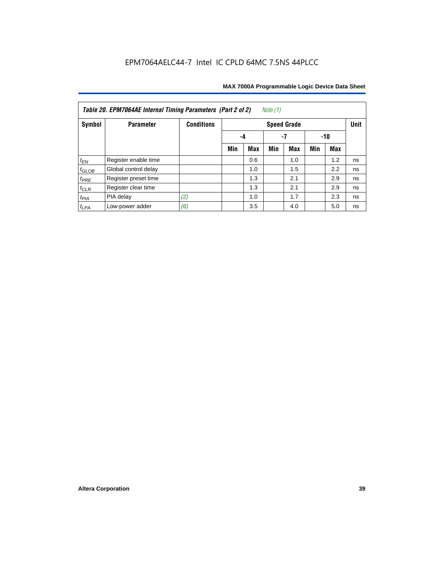| Note $(1)$<br>Table 20. EPM7064AE Internal Timing Parameters (Part 2 of 2) |                      |                   |     |     |     |                    |     |     |             |  |  |
|----------------------------------------------------------------------------|----------------------|-------------------|-----|-----|-----|--------------------|-----|-----|-------------|--|--|
| Symbol                                                                     | <b>Parameter</b>     | <b>Conditions</b> |     |     |     | <b>Speed Grade</b> |     |     | <b>Unit</b> |  |  |
|                                                                            |                      |                   | -4  | -10 |     |                    |     |     |             |  |  |
|                                                                            |                      |                   | Min | Max | Min | <b>Max</b>         | Min | Max |             |  |  |
| $t_{EN}$                                                                   | Register enable time |                   |     | 0.6 |     | 1.0                |     | 1.2 | ns          |  |  |
| $t_{GLOB}$                                                                 | Global control delay |                   |     | 1.0 |     | 1.5                |     | 2.2 | ns          |  |  |
| $t_{PRE}$                                                                  | Register preset time |                   |     | 1.3 |     | 2.1                |     | 2.9 | ns          |  |  |
| $t_{CLR}$                                                                  | Register clear time  |                   |     | 1.3 |     | 2.1                |     | 2.9 | ns          |  |  |
| $t_{PIA}$                                                                  | PIA delay            | (2)               |     | 1.0 |     | 1.7                |     | 2.3 | ns          |  |  |
| $t_{LPA}$                                                                  | Low-power adder      | (6)               |     | 3.5 |     | 4.0                |     | 5.0 | ns          |  |  |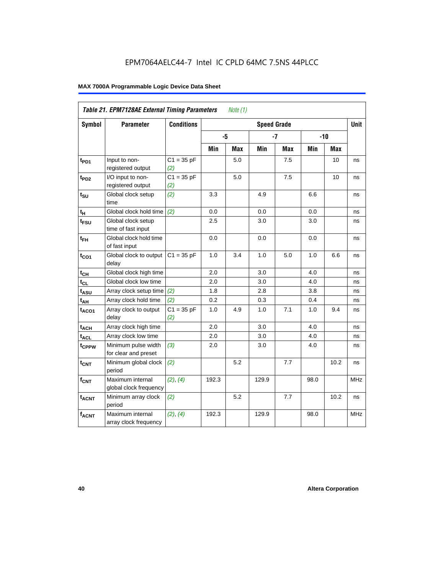|                   | Table 21. EPM7128AE External Timing Parameters |                     |       | Note $(1)$ |                    |            |      |            |            |
|-------------------|------------------------------------------------|---------------------|-------|------------|--------------------|------------|------|------------|------------|
| Symbol            | <b>Parameter</b>                               | <b>Conditions</b>   |       |            | <b>Speed Grade</b> |            |      |            | Unit       |
|                   |                                                |                     | -5    |            |                    | $-7$       |      | $-10$      |            |
|                   |                                                |                     | Min   | <b>Max</b> | Min                | <b>Max</b> | Min  | <b>Max</b> |            |
| t <sub>PD1</sub>  | Input to non-<br>registered output             | $C1 = 35 pF$<br>(2) |       | 5.0        |                    | 7.5        |      | 10         | ns         |
| t <sub>PD2</sub>  | I/O input to non-<br>registered output         | $C1 = 35 pF$<br>(2) |       | 5.0        |                    | 7.5        |      | 10         | ns         |
| $t_{\text{SU}}$   | Global clock setup<br>time                     | (2)                 | 3.3   |            | 4.9                |            | 6.6  |            | ns         |
| $t_H$             | Global clock hold time                         | (2)                 | 0.0   |            | 0.0                |            | 0.0  |            | ns         |
| t <sub>FSU</sub>  | Global clock setup<br>time of fast input       |                     | 2.5   |            | 3.0                |            | 3.0  |            | ns         |
| $t_{FH}$          | Global clock hold time<br>of fast input        |                     | 0.0   |            | 0.0                |            | 0.0  |            | ns         |
| $t_{CO1}$         | Global clock to output<br>delay                | $C1 = 35 pF$        | 1.0   | 3.4        | $1.0$              | 5.0        | 1.0  | 6.6        | ns         |
| $t_{CH}$          | Global clock high time                         |                     | 2.0   |            | 3.0                |            | 4.0  |            | ns         |
| $t_{CL}$          | Global clock low time                          |                     | 2.0   |            | 3.0                |            | 4.0  |            | ns         |
| $t_{ASU}$         | Array clock setup time                         | (2)                 | 1.8   |            | 2.8                |            | 3.8  |            | ns         |
| $t_{AH}$          | Array clock hold time                          | (2)                 | 0.2   |            | 0.3                |            | 0.4  |            | ns         |
| $t_{ACO1}$        | Array clock to output<br>delay                 | $C1 = 35 pF$<br>(2) | 1.0   | 4.9        | 1.0                | 7.1        | 1.0  | 9.4        | ns         |
| $t_{ACH}$         | Array clock high time                          |                     | 2.0   |            | 3.0                |            | 4.0  |            | ns         |
| t <sub>ACL</sub>  | Array clock low time                           |                     | 2.0   |            | 3.0                |            | 4.0  |            | ns         |
| t <sub>CPPW</sub> | Minimum pulse width<br>for clear and preset    | (3)                 | 2.0   |            | 3.0                |            | 4.0  |            | ns         |
| $t_{\text{CNT}}$  | Minimum global clock<br>period                 | (2)                 |       | 5.2        |                    | 7.7        |      | 10.2       | ns         |
| $f_{CNT}$         | Maximum internal<br>global clock frequency     | (2), (4)            | 192.3 |            | 129.9              |            | 98.0 |            | <b>MHz</b> |
| $t_{ACNT}$        | Minimum array clock<br>period                  | (2)                 |       | 5.2        |                    | 7.7        |      | 10.2       | ns         |
| <b>fACNT</b>      | Maximum internal<br>array clock frequency      | (2), (4)            | 192.3 |            | 129.9              |            | 98.0 |            | <b>MHz</b> |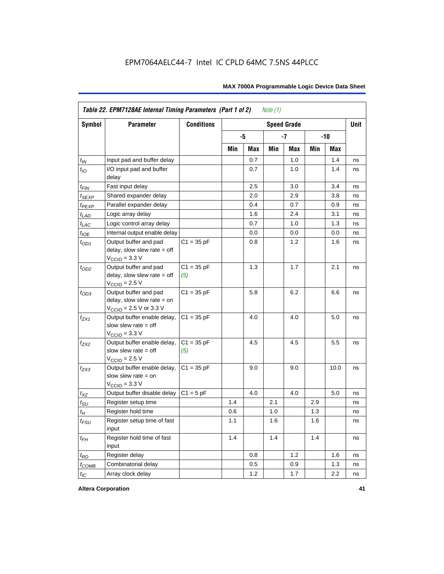|                    | Table 22. EPM7128AE Internal Timing Parameters (Part 1 of 2)                                |                     |     |     | Note $(1)$ |                    |     |         |             |
|--------------------|---------------------------------------------------------------------------------------------|---------------------|-----|-----|------------|--------------------|-----|---------|-------------|
| Symbol             | <b>Parameter</b>                                                                            | <b>Conditions</b>   |     |     |            | <b>Speed Grade</b> |     |         | <b>Unit</b> |
|                    |                                                                                             |                     |     | -5  |            | $-7$               |     | $-10$   |             |
|                    |                                                                                             |                     | Min | Max | Min        | Max                | Min | Max     |             |
| $t_{IN}$           | Input pad and buffer delay                                                                  |                     |     | 0.7 |            | 1.0                |     | 1.4     | ns          |
| $t_{IO}$           | I/O input pad and buffer<br>delay                                                           |                     |     | 0.7 |            | 1.0                |     | 1.4     | ns          |
| $t_{\mathsf{FIN}}$ | Fast input delay                                                                            |                     |     | 2.5 |            | 3.0                |     | 3.4     | ns          |
| $t_{SEXP}$         | Shared expander delay                                                                       |                     |     | 2.0 |            | 2.9                |     | 3.8     | ns          |
| $t_{PEXP}$         | Parallel expander delay                                                                     |                     |     | 0.4 |            | 0.7                |     | 0.9     | ns          |
| $t_{LAD}$          | Logic array delay                                                                           |                     |     | 1.6 |            | 2.4                |     | 3.1     | ns          |
| $t_{LAC}$          | Logic control array delay                                                                   |                     |     | 0.7 |            | 1.0                |     | 1.3     | ns          |
| $t_{IOE}$          | Internal output enable delay                                                                |                     |     | 0.0 |            | 0.0                |     | 0.0     | ns          |
| $t_{OD1}$          | Output buffer and pad<br>delay, slow slew rate = off<br>$VCCIO = 3.3 V$                     | $C1 = 35 pF$        |     | 0.8 |            | 1.2                |     | 1.6     | ns          |
| $t_{OD2}$          | Output buffer and pad<br>$delay$ , slow slew rate = off<br>$V_{\text{CCIO}}$ = 2.5 V        | $C1 = 35 pF$<br>(5) |     | 1.3 |            | 1.7                |     | 2.1     | ns          |
| $t_{OD3}$          | Output buffer and pad<br>delay, slow slew rate $=$ on<br>$V_{\text{CCIO}}$ = 2.5 V or 3.3 V | $C1 = 35 pF$        |     | 5.8 |            | 6.2                |     | 6.6     | ns          |
| $t_{ZX1}$          | Output buffer enable delay,<br>slow slew rate $=$ off<br>$VCCIO = 3.3 V$                    | $C1 = 35 pF$        |     | 4.0 |            | 4.0                |     | 5.0     | ns          |
| $t_{7X2}$          | Output buffer enable delay,<br>slow slew rate $=$ off<br>$V_{\text{CCIO}} = 2.5 V$          | $C1 = 35 pF$<br>(5) |     | 4.5 |            | 4.5                |     | $5.5\,$ | ns          |
| $t_{ZX3}$          | Output buffer enable delay,<br>slow slew rate $=$ on<br>$V_{\text{CCIO}} = 3.3 \text{ V}$   | $C1 = 35 pF$        |     | 9.0 |            | 9.0                |     | 10.0    | ns          |
| $t_{XZ}$           | Output buffer disable delay                                                                 | $C1 = 5 pF$         |     | 4.0 |            | 4.0                |     | 5.0     | ns          |
| $t_{\text{SU}}$    | Register setup time                                                                         |                     | 1.4 |     | 2.1        |                    | 2.9 |         | ns          |
| $t_H$              | Register hold time                                                                          |                     | 0.6 |     | 1.0        |                    | 1.3 |         | ns          |
| $t_{\mathit{FSU}}$ | Register setup time of fast<br>input                                                        |                     | 1.1 |     | 1.6        |                    | 1.6 |         | ns          |
| $t_{FH}$           | Register hold time of fast<br>input                                                         |                     | 1.4 |     | 1.4        |                    | 1.4 |         | ns          |
| $t_{RD}$           | Register delay                                                                              |                     |     | 0.8 |            | 1.2                |     | 1.6     | ns          |
| $t_{COMB}$         | Combinatorial delay                                                                         |                     |     | 0.5 |            | 0.9                |     | 1.3     | ns          |
| $t_{IC}$           | Array clock delay                                                                           |                     |     | 1.2 |            | 1.7                |     | 2.2     | ns          |

**Altera Corporation 41**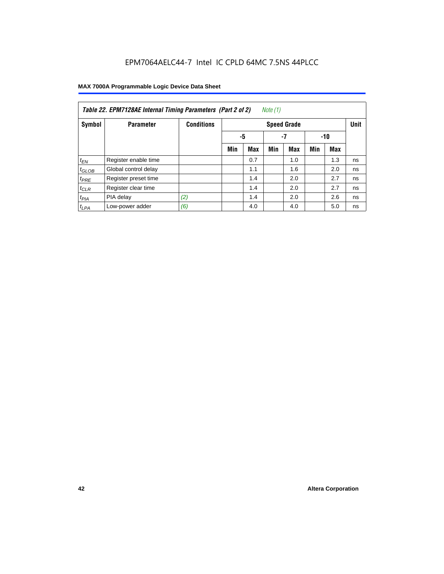| Note (1)<br>Table 22. EPM7128AE Internal Timing Parameters (Part 2 of 2) |                      |                   |     |                   |     |                    |     |            |             |  |  |
|--------------------------------------------------------------------------|----------------------|-------------------|-----|-------------------|-----|--------------------|-----|------------|-------------|--|--|
| Symbol                                                                   | <b>Parameter</b>     | <b>Conditions</b> |     |                   |     | <b>Speed Grade</b> |     |            | <b>Unit</b> |  |  |
|                                                                          |                      |                   |     | -5<br>$-7$<br>-10 |     |                    |     |            |             |  |  |
|                                                                          |                      |                   | Min | <b>Max</b>        | Min | <b>Max</b>         | Min | <b>Max</b> |             |  |  |
| $t_{EN}$                                                                 | Register enable time |                   |     | 0.7               |     | 1.0                |     | 1.3        | ns          |  |  |
| $t_{GLOB}$                                                               | Global control delay |                   |     | 1.1               |     | 1.6                |     | 2.0        | ns          |  |  |
| $t_{PRE}$                                                                | Register preset time |                   |     | 1.4               |     | 2.0                |     | 2.7        | ns          |  |  |
| $t_{CLR}$                                                                | Register clear time  |                   |     | 1.4               |     | 2.0                |     | 2.7        | ns          |  |  |
| t <sub>PIA</sub>                                                         | PIA delay            | (2)               |     | 1.4               |     | 2.0                |     | 2.6        | ns          |  |  |
| $t_{LPA}$                                                                | Low-power adder      | (6)               |     | 4.0               |     | 4.0                |     | 5.0        | ns          |  |  |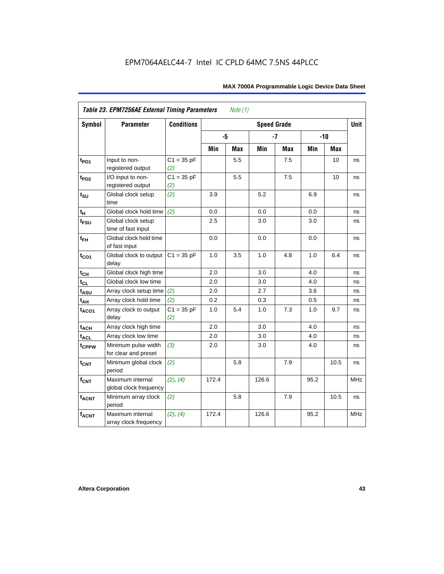| <b>Symbol</b>     | Table 23. EPM7256AE External Timing Parameters<br><b>Parameter</b> | <b>Conditions</b>   |       | Note $(1)$ | <b>Speed Grade</b> |            |      |        | <b>Unit</b> |
|-------------------|--------------------------------------------------------------------|---------------------|-------|------------|--------------------|------------|------|--------|-------------|
|                   |                                                                    |                     |       |            |                    |            |      |        |             |
|                   |                                                                    |                     |       | -5         |                    | $-7$       |      | $-10$  |             |
|                   |                                                                    |                     | Min   | Max        | Min                | <b>Max</b> | Min  | Max    |             |
| $t_{PD1}$         | Input to non-<br>registered output                                 | $C1 = 35 pF$<br>(2) |       | 5.5        |                    | 7.5        |      | 10     | ns          |
| t <sub>PD2</sub>  | I/O input to non-<br>registered output                             | $C1 = 35 pF$<br>(2) |       | 5.5        |                    | 7.5        |      | 10     | ns          |
| $t_{\text{SU}}$   | Global clock setup<br>time                                         | (2)                 | 3.9   |            | 5.2                |            | 6.9  |        | ns          |
| tμ                | Global clock hold time                                             | (2)                 | 0.0   |            | 0.0                |            | 0.0  |        | ns          |
| $t_{FSU}$         | Global clock setup<br>time of fast input                           |                     | 2.5   |            | 3.0                |            | 3.0  |        | ns          |
| $t_{FH}$          | Global clock hold time<br>of fast input                            |                     | 0.0   |            | 0.0                |            | 0.0  |        | ns          |
| $t_{CO1}$         | Global clock to output<br>delay                                    | $C1 = 35 pF$        | 1.0   | 3.5        | 1.0                | 4.8        | 1.0  | 6.4    | ns          |
| $t_{CH}$          | Global clock high time                                             |                     | 2.0   |            | 3.0                |            | 4.0  |        | ns          |
| $t_{CL}$          | Global clock low time                                              |                     | 2.0   |            | 3.0                |            | 4.0  |        | ns          |
| $t_{ASU}$         | Array clock setup time                                             | (2)                 | 2.0   |            | 2.7                |            | 3.6  |        | ns          |
| $t_{AH}$          | Array clock hold time                                              | (2)                 | 0.2   |            | 0.3                |            | 0.5  |        | ns          |
| t <sub>ACO1</sub> | Array clock to output<br>delay                                     | $C1 = 35 pF$<br>(2) | 1.0   | 5.4        | 1.0                | 7.3        | 1.0  | 9.7    | ns          |
| $t_{ACH}$         | Array clock high time                                              |                     | 2.0   |            | 3.0                |            | 4.0  |        | ns          |
| t <sub>ACL</sub>  | Array clock low time                                               |                     | 2.0   |            | 3.0                |            | 4.0  |        | ns          |
| t <sub>CPPW</sub> | Minimum pulse width<br>for clear and preset                        | (3)                 | 2.0   |            | 3.0                |            | 4.0  |        | ns          |
| $t_{CNT}$         | Minimum global clock<br>period                                     | (2)                 |       | 5.8        |                    | 7.9        |      | $10.5$ | ns          |
| $f_{CNT}$         | Maximum internal<br>global clock frequency                         | (2), (4)            | 172.4 |            | 126.6              |            | 95.2 |        | <b>MHz</b>  |
| $t_{ACNT}$        | Minimum array clock<br>period                                      | (2)                 |       | 5.8        |                    | 7.9        |      | 10.5   | ns          |
| <b>fACNT</b>      | Maximum internal<br>array clock frequency                          | (2), (4)            | 172.4 |            | 126.6              |            | 95.2 |        | <b>MHz</b>  |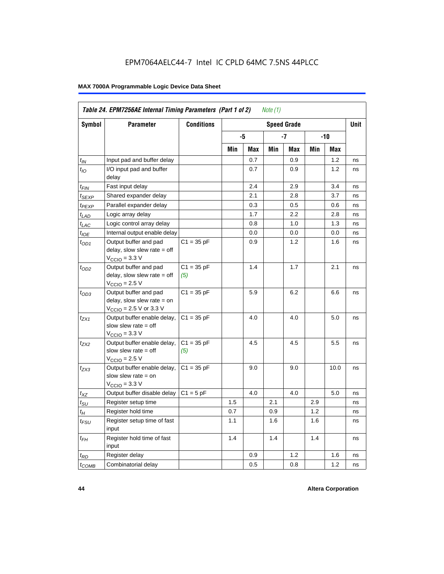| Symbol              | <b>Parameter</b>                                                                                             | <b>Conditions</b>   |     |     |     | <b>Speed Grade</b> |     |      | <b>Unit</b> |
|---------------------|--------------------------------------------------------------------------------------------------------------|---------------------|-----|-----|-----|--------------------|-----|------|-------------|
|                     |                                                                                                              |                     |     | -5  |     | -7                 |     | -10  |             |
|                     |                                                                                                              |                     | Min | Max | Min | Max                | Min | Max  |             |
| $t_{\mathsf{IN}}$   | Input pad and buffer delay                                                                                   |                     |     | 0.7 |     | 0.9                |     | 1.2  | ns          |
| $t_{IO}$            | I/O input pad and buffer<br>delay                                                                            |                     |     | 0.7 |     | 0.9                |     | 1.2  | ns          |
| t <sub>FIN</sub>    | Fast input delay                                                                                             |                     |     | 2.4 |     | 2.9                |     | 3.4  | ns          |
| $t_{\mathsf{SEXP}}$ | Shared expander delay                                                                                        |                     |     | 2.1 |     | 2.8                |     | 3.7  | ns          |
| t <sub>PEXP</sub>   | Parallel expander delay                                                                                      |                     |     | 0.3 |     | 0.5                |     | 0.6  | ns          |
| t <sub>LAD</sub>    | Logic array delay                                                                                            |                     |     | 1.7 |     | 2.2                |     | 2.8  | ns          |
| $t_{LAC}$           | Logic control array delay                                                                                    |                     |     | 0.8 |     | 1.0                |     | 1.3  | ns          |
| $t_{IOE}$           | Internal output enable delay                                                                                 |                     |     | 0.0 |     | 0.0                |     | 0.0  | ns          |
| $t_{OD1}$           | Output buffer and pad<br>delay, slow slew rate $=$ off<br>$V_{\text{CCIO}} = 3.3 \text{ V}$                  | $C1 = 35 pF$        |     | 0.9 |     | 1.2                |     | 1.6  | ns          |
| $t_{OD2}$           | Output buffer and pad<br>delay, slow slew rate $=$ off<br>$V_{\text{CCIO}} = 2.5 V$                          | $C1 = 35 pF$<br>(5) |     | 1.4 |     | 1.7                |     | 2.1  | ns          |
| $t_{OD3}$           | Output buffer and pad<br>delay, slow slew rate $=$ on<br>$V_{\text{CCIO}} = 2.5 \text{ V or } 3.3 \text{ V}$ | $C1 = 35 pF$        |     | 5.9 |     | 6.2                |     | 6.6  | ns          |
| $t_{ZX1}$           | Output buffer enable delay,<br>slow slew rate $=$ off<br>$V_{\text{CCIO}} = 3.3 \text{ V}$                   | $C1 = 35 pF$        |     | 4.0 |     | 4.0                |     | 5.0  | ns          |
| $t_{ZX2}$           | Output buffer enable delay,<br>slow slew rate $=$ off<br>$V_{\text{CCIO}} = 2.5 V$                           | $C1 = 35 pF$<br>(5) |     | 4.5 |     | 4.5                |     | 5.5  | ns          |
| t <sub>ZX3</sub>    | Output buffer enable delay,<br>slow slew rate $=$ on<br>$V_{\text{CCIO}} = 3.3 \text{ V}$                    | $C1 = 35 pF$        |     | 9.0 |     | 9.0                |     | 10.0 | ns          |
| $t_{XZ}$            | Output buffer disable delay                                                                                  | $C1 = 5pF$          |     | 4.0 |     | 4.0                |     | 5.0  | ns          |
| $t_{\text{SU}}$     | Register setup time                                                                                          |                     | 1.5 |     | 2.1 |                    | 2.9 |      | ns          |
| $t_H$               | Register hold time                                                                                           |                     | 0.7 |     | 0.9 |                    | 1.2 |      | ns          |
| t <sub>FSU</sub>    | Register setup time of fast<br>input                                                                         |                     | 1.1 |     | 1.6 |                    | 1.6 |      | ns          |
| t <sub>FН</sub>     | Register hold time of fast<br>input                                                                          |                     | 1.4 |     | 1.4 |                    | 1.4 |      | ns          |
| $t_{RD}$            | Register delay                                                                                               |                     |     | 0.9 |     | 1.2                |     | 1.6  | ns          |
| $t_{COMB}$          | Combinatorial delay                                                                                          |                     |     | 0.5 |     | 0.8                |     | 1.2  | ns          |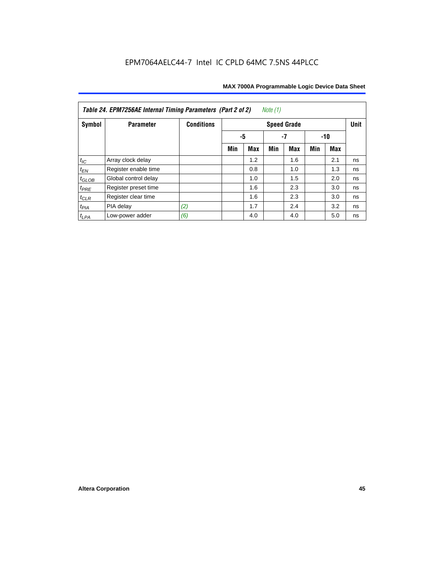| Table 24. EPM7256AE Internal Timing Parameters (Part 2 of 2)<br>Note (1) |                      |                   |     |                 |     |                    |     |     |             |  |  |
|--------------------------------------------------------------------------|----------------------|-------------------|-----|-----------------|-----|--------------------|-----|-----|-------------|--|--|
| Symbol                                                                   | <b>Parameter</b>     | <b>Conditions</b> |     |                 |     | <b>Speed Grade</b> |     |     | <b>Unit</b> |  |  |
|                                                                          |                      |                   |     | -5<br>-7<br>-10 |     |                    |     |     |             |  |  |
|                                                                          |                      |                   | Min | <b>Max</b>      | Min | Max                | Min | Max |             |  |  |
| $t_{\mathit{IC}}$                                                        | Array clock delay    |                   |     | 1.2             |     | 1.6                |     | 2.1 | ns          |  |  |
| $t_{EN}$                                                                 | Register enable time |                   |     | 0.8             |     | 1.0                |     | 1.3 | ns          |  |  |
| $t_{GLOB}$                                                               | Global control delay |                   |     | 1.0             |     | 1.5                |     | 2.0 | ns          |  |  |
| $t_{PRE}$                                                                | Register preset time |                   |     | 1.6             |     | 2.3                |     | 3.0 | ns          |  |  |
| $t_{CLR}$                                                                | Register clear time  |                   |     | 1.6             |     | 2.3                |     | 3.0 | ns          |  |  |
| $t_{PIA}$                                                                | PIA delay            | (2)               |     | 1.7             |     | 2.4                |     | 3.2 | ns          |  |  |
| $t_{LPA}$                                                                | Low-power adder      | (6)               |     | 4.0             |     | 4.0                |     | 5.0 | ns          |  |  |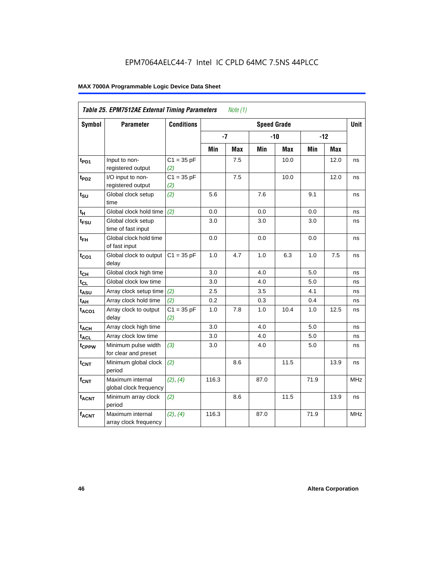|                   | Table 25. EPM7512AE External Timing Parameters |                     |       | <i>Note</i> $(1)$ |                    |       |      |       |             |
|-------------------|------------------------------------------------|---------------------|-------|-------------------|--------------------|-------|------|-------|-------------|
| Symbol            | <b>Parameter</b>                               | <b>Conditions</b>   |       |                   | <b>Speed Grade</b> |       |      |       | <b>Unit</b> |
|                   |                                                |                     | $-7$  |                   |                    | $-10$ |      | $-12$ |             |
|                   |                                                |                     | Min   | <b>Max</b>        | Min                | Max   | Min  | Max   |             |
| t <sub>PD1</sub>  | Input to non-<br>registered output             | $C1 = 35 pF$<br>(2) |       | 7.5               |                    | 10.0  |      | 12.0  | ns          |
| $t_{PD2}$         | I/O input to non-<br>registered output         | $C1 = 35 pF$<br>(2) |       | 7.5               |                    | 10.0  |      | 12.0  | ns          |
| $t_{\text{SU}}$   | Global clock setup<br>time                     | (2)                 | 5.6   |                   | 7.6                |       | 9.1  |       | ns          |
| t <sub>Η</sub>    | Global clock hold time                         | (2)                 | 0.0   |                   | 0.0                |       | 0.0  |       | ns          |
| t <sub>FSU</sub>  | Global clock setup<br>time of fast input       |                     | 3.0   |                   | 3.0                |       | 3.0  |       | ns          |
| $t_{FH}$          | Global clock hold time<br>of fast input        |                     | 0.0   |                   | 0.0                |       | 0.0  |       | ns          |
| $t_{CO1}$         | Global clock to output<br>delay                | $C1 = 35 pF$        | 1.0   | 4.7               | 1.0                | 6.3   | 1.0  | 7.5   | ns          |
| $t_{CH}$          | Global clock high time                         |                     | 3.0   |                   | 4.0                |       | 5.0  |       | ns          |
| $t_{CL}$          | Global clock low time                          |                     | 3.0   |                   | 4.0                |       | 5.0  |       | ns          |
| $t_{ASU}$         | Array clock setup time                         | (2)                 | 2.5   |                   | 3.5                |       | 4.1  |       | ns          |
| $t_{AH}$          | Array clock hold time                          | (2)                 | 0.2   |                   | 0.3                |       | 0.4  |       | ns          |
| $t_{ACO1}$        | Array clock to output<br>delay                 | $C1 = 35 pF$<br>(2) | 1.0   | 7.8               | 1.0                | 10.4  | 1.0  | 12.5  | ns          |
| $t_{ACH}$         | Array clock high time                          |                     | 3.0   |                   | 4.0                |       | 5.0  |       | ns          |
| $t_{\text{ACL}}$  | Array clock low time                           |                     | 3.0   |                   | 4.0                |       | 5.0  |       | ns          |
| t <sub>CPPW</sub> | Minimum pulse width<br>for clear and preset    | (3)                 | 3.0   |                   | 4.0                |       | 5.0  |       | ns          |
| t <sub>CNT</sub>  | Minimum global clock<br>period                 | (2)                 |       | 8.6               |                    | 11.5  |      | 13.9  | ns          |
| $f_{CNT}$         | Maximum internal<br>global clock frequency     | (2), (4)            | 116.3 |                   | 87.0               |       | 71.9 |       | <b>MHz</b>  |
| $t_{ACNT}$        | Minimum array clock<br>period                  | (2)                 |       | 8.6               |                    | 11.5  |      | 13.9  | ns          |
| $f_{ACNT}$        | Maximum internal<br>array clock frequency      | (2), (4)            | 116.3 |                   | 87.0               |       | 71.9 |       | <b>MHz</b>  |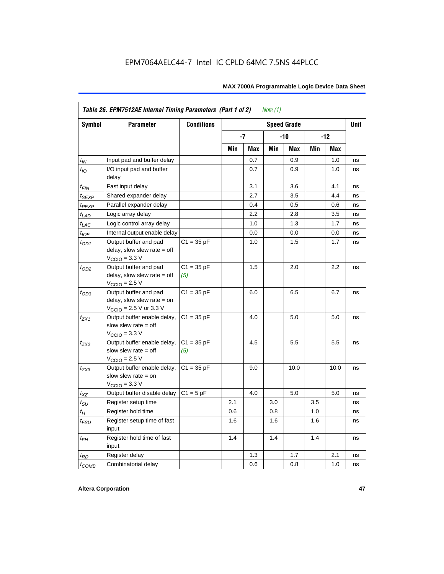|                   | Table 26. EPM7512AE Internal Timing Parameters (Part 1 of 2)                                                 |                     |     |      | Note $(1)$ |                    |     |       |             |
|-------------------|--------------------------------------------------------------------------------------------------------------|---------------------|-----|------|------------|--------------------|-----|-------|-------------|
| <b>Symbol</b>     | <b>Parameter</b>                                                                                             | <b>Conditions</b>   |     |      |            | <b>Speed Grade</b> |     |       | <b>Unit</b> |
|                   |                                                                                                              |                     |     | $-7$ |            | $-10$              |     | $-12$ |             |
|                   |                                                                                                              |                     | Min | Max  | Min        | Max                | Min | Max   |             |
| $t_{IN}$          | Input pad and buffer delay                                                                                   |                     |     | 0.7  |            | 0.9                |     | 1.0   | ns          |
| $t_{IO}$          | I/O input pad and buffer<br>delay                                                                            |                     |     | 0.7  |            | 0.9                |     | 1.0   | ns          |
| $t_{\sf FIN}$     | Fast input delay                                                                                             |                     |     | 3.1  |            | 3.6                |     | 4.1   | ns          |
| $t_{SEXP}$        | Shared expander delay                                                                                        |                     |     | 2.7  |            | 3.5                |     | 4.4   | ns          |
| t <sub>PEXP</sub> | Parallel expander delay                                                                                      |                     |     | 0.4  |            | 0.5                |     | 0.6   | ns          |
| $t_{LAD}$         | Logic array delay                                                                                            |                     |     | 2.2  |            | 2.8                |     | 3.5   | ns          |
| $t_{LAC}$         | Logic control array delay                                                                                    |                     |     | 1.0  |            | 1.3                |     | 1.7   | ns          |
| $t_{IOE}$         | Internal output enable delay                                                                                 |                     |     | 0.0  |            | 0.0                |     | 0.0   | ns          |
| $t_{OD1}$         | Output buffer and pad<br>delay, slow slew rate $=$ off<br>$V_{\text{CCIO}} = 3.3 \text{ V}$                  | $C1 = 35 pF$        |     | 1.0  |            | 1.5                |     | 1.7   | ns          |
| $t_{OD2}$         | Output buffer and pad<br>delay, slow slew rate $=$ off<br>$VCCIO = 2.5 V$                                    | $C1 = 35 pF$<br>(5) |     | 1.5  |            | 2.0                |     | 2.2   | ns          |
| $t_{OD3}$         | Output buffer and pad<br>delay, slow slew rate $=$ on<br>$V_{\text{CCIO}} = 2.5 \text{ V or } 3.3 \text{ V}$ | $C1 = 35 pF$        |     | 6.0  |            | 6.5                |     | 6.7   | ns          |
| $t_{ZX1}$         | Output buffer enable delay,<br>slow slew rate $=$ off<br>$VCCIO = 3.3 V$                                     | $C1 = 35 pF$        |     | 4.0  |            | 5.0                |     | 5.0   | ns          |
| $t_{ZX2}$         | Output buffer enable delay,<br>slow slew rate $=$ off<br>$V_{\text{CCIO}}$ = 2.5 V                           | $C1 = 35 pF$<br>(5) |     | 4.5  |            | 5.5                |     | 5.5   | ns          |
| $t_{ZX3}$         | Output buffer enable delay,<br>slow slew rate $=$ on<br>$VCCIO = 3.3 V$                                      | $C1 = 35 pF$        |     | 9.0  |            | 10.0               |     | 10.0  | ns          |
| $t_{XZ}$          | Output buffer disable delay                                                                                  | $C1 = 5pF$          |     | 4.0  |            | 5.0                |     | 5.0   | ns          |
| $t_{\text{SU}}$   | Register setup time                                                                                          |                     | 2.1 |      | 3.0        |                    | 3.5 |       | ns          |
| $t_H$             | Register hold time                                                                                           |                     | 0.6 |      | 0.8        |                    | 1.0 |       | ns          |
| $t_{FSU}$         | Register setup time of fast<br>input                                                                         |                     | 1.6 |      | 1.6        |                    | 1.6 |       | ns          |
| $t_{FH}$          | Register hold time of fast<br>input                                                                          |                     | 1.4 |      | 1.4        |                    | 1.4 |       | ns          |
| $t_{RD}$          | Register delay                                                                                               |                     |     | 1.3  |            | 1.7                |     | 2.1   | ns          |
| $t_{COMB}$        | Combinatorial delay                                                                                          |                     |     | 0.6  |            | 0.8                |     | 1.0   | ns          |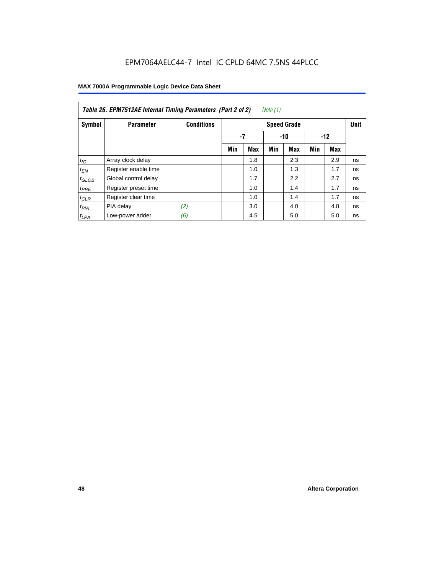| Note (1)<br>Table 26. EPM7512AE Internal Timing Parameters (Part 2 of 2) |                      |                   |                    |            |     |            |     |       |    |  |  |
|--------------------------------------------------------------------------|----------------------|-------------------|--------------------|------------|-----|------------|-----|-------|----|--|--|
| Symbol                                                                   | <b>Parameter</b>     | <b>Conditions</b> | <b>Speed Grade</b> |            |     |            |     |       |    |  |  |
|                                                                          |                      |                   | -7                 |            |     | $-10$      |     | $-12$ |    |  |  |
|                                                                          |                      |                   | Min                | <b>Max</b> | Min | <b>Max</b> | Min | Max   |    |  |  |
| $t_{IC}$                                                                 | Array clock delay    |                   |                    | 1.8        |     | 2.3        |     | 2.9   | ns |  |  |
| $t_{EN}$                                                                 | Register enable time |                   |                    | 1.0        |     | 1.3        |     | 1.7   | ns |  |  |
| $t_{GLOB}$                                                               | Global control delay |                   |                    | 1.7        |     | 2.2        |     | 2.7   | ns |  |  |
| $t_{PRE}$                                                                | Register preset time |                   |                    | 1.0        |     | 1.4        |     | 1.7   | ns |  |  |
| $t_{CLR}$                                                                | Register clear time  |                   |                    | 1.0        |     | 1.4        |     | 1.7   | ns |  |  |
| t <sub>PIA</sub>                                                         | PIA delay            | (2)               |                    | 3.0        |     | 4.0        |     | 4.8   | ns |  |  |
| $t_{LPA}$                                                                | Low-power adder      | (6)               |                    | 4.5        |     | 5.0        |     | 5.0   | ns |  |  |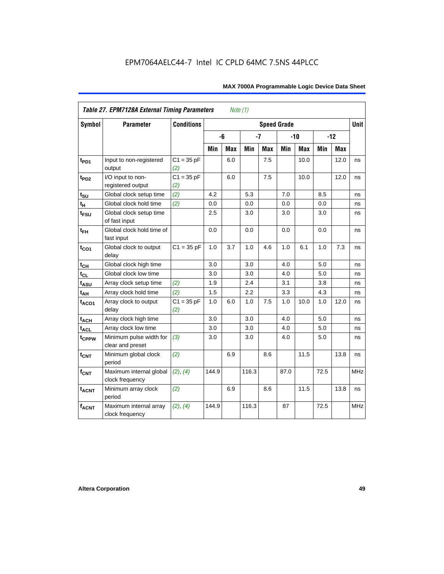|                         | <b>Table 27. EPM7128A External Timing Parameters</b> |                     |         | Note (1)   |       |            |                    |            |      |       |             |
|-------------------------|------------------------------------------------------|---------------------|---------|------------|-------|------------|--------------------|------------|------|-------|-------------|
| <b>Symbol</b>           | <b>Parameter</b>                                     | <b>Conditions</b>   |         |            |       |            | <b>Speed Grade</b> |            |      |       | <b>Unit</b> |
|                         |                                                      |                     |         | -6         | $-7$  |            |                    | $-10$      |      | $-12$ |             |
|                         |                                                      |                     | Min     | <b>Max</b> | Min   | <b>Max</b> | Min                | <b>Max</b> | Min  | Max   |             |
| t <sub>PD1</sub>        | Input to non-registered<br>output                    | $C1 = 35 pF$<br>(2) |         | 6.0        |       | 7.5        |                    | 10.0       |      | 12.0  | ns          |
| t <sub>PD2</sub>        | I/O input to non-<br>registered output               | $C1 = 35 pF$<br>(2) |         | 6.0        |       | 7.5        |                    | 10.0       |      | 12.0  | ns          |
| $t_{\text{SU}}$         | Global clock setup time                              | (2)                 | 4.2     |            | 5.3   |            | 7.0                |            | 8.5  |       | ns          |
| $t_H$                   | Global clock hold time                               | (2)                 | 0.0     |            | 0.0   |            | 0.0                |            | 0.0  |       | ns          |
| t <sub>FSU</sub>        | Global clock setup time<br>of fast input             |                     | $2.5\,$ |            | 3.0   |            | 3.0                |            | 3.0  |       | ns          |
| $t_{FH}$                | Global clock hold time of<br>fast input              |                     | 0.0     |            | 0.0   |            | 0.0                |            | 0.0  |       | ns          |
| $t_{CO1}$               | Global clock to output<br>delay                      | $C1 = 35 pF$        | 1.0     | 3.7        | 1.0   | 4.6        | 1.0                | 6.1        | 1.0  | 7.3   | ns          |
| $t_{CH}$                | Global clock high time                               |                     | 3.0     |            | 3.0   |            | 4.0                |            | 5.0  |       | ns          |
| $t_{CL}$                | Global clock low time                                |                     | 3.0     |            | 3.0   |            | 4.0                |            | 5.0  |       | ns          |
| t <sub>ASU</sub>        | Array clock setup time                               | (2)                 | 1.9     |            | 2.4   |            | 3.1                |            | 3.8  |       | ns          |
| $t_{\underline{AH}}$    | Array clock hold time                                | (2)                 | 1.5     |            | 2.2   |            | 3.3                |            | 4.3  |       | ns          |
| t <sub>ACO1</sub>       | Array clock to output<br>delay                       | $C1 = 35 pF$<br>(2) | 1.0     | 6.0        | 1.0   | 7.5        | 1.0                | 10.0       | 1.0  | 12.0  | ns          |
| $t_{ACH}$               | Array clock high time                                |                     | 3.0     |            | 3.0   |            | 4.0                |            | 5.0  |       | ns          |
| t <sub>ACL</sub>        | Array clock low time                                 |                     | 3.0     |            | 3.0   |            | 4.0                |            | 5.0  |       | ns          |
| t <sub>CPPW</sub>       | Minimum pulse width for<br>clear and preset          | (3)                 | 3.0     |            | 3.0   |            | 4.0                |            | 5.0  |       | ns          |
| $t_{\text{CNT}}$        | Minimum global clock<br>period                       | (2)                 |         | 6.9        |       | 8.6        |                    | 11.5       |      | 13.8  | ns          |
| $f_{\text{CNT}}$        | Maximum internal global<br>clock frequency           | (2), (4)            | 144.9   |            | 116.3 |            | 87.0               |            | 72.5 |       | MHz         |
| <b>t<sub>ACNT</sub></b> | Minimum array clock<br>period                        | (2)                 |         | 6.9        |       | 8.6        |                    | 11.5       |      | 13.8  | ns          |
| <b>fACNT</b>            | Maximum internal array<br>clock frequency            | (2), (4)            | 144.9   |            | 116.3 |            | 87                 |            | 72.5 |       | <b>MHz</b>  |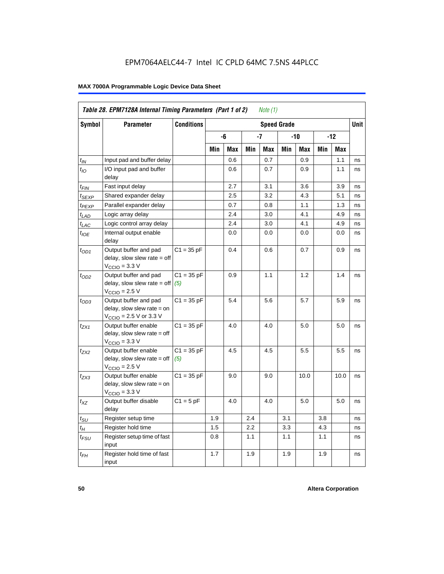|                             | Table 28. EPM7128A Internal Timing Parameters (Part 1 of 2)                                                |                     |     |     |     | Note (1) |                    |      |     |            |             |
|-----------------------------|------------------------------------------------------------------------------------------------------------|---------------------|-----|-----|-----|----------|--------------------|------|-----|------------|-------------|
| <b>Symbol</b>               | <b>Parameter</b>                                                                                           | <b>Conditions</b>   |     |     |     |          | <b>Speed Grade</b> |      |     |            | <b>Unit</b> |
|                             |                                                                                                            |                     |     | -6  |     | -7       |                    | -10  |     | $-12$      |             |
|                             |                                                                                                            |                     | Min | Max | Min | Max      | Min                | Max  | Min | <b>Max</b> |             |
| $t_{IN}$                    | Input pad and buffer delay                                                                                 |                     |     | 0.6 |     | 0.7      |                    | 0.9  |     | 1.1        | ns          |
| $t_{IO}$                    | I/O input pad and buffer<br>delay                                                                          |                     |     | 0.6 |     | 0.7      |                    | 0.9  |     | 1.1        | ns          |
| t <sub>FIN</sub>            | Fast input delay                                                                                           |                     |     | 2.7 |     | 3.1      |                    | 3.6  |     | 3.9        | ns          |
| t <sub>SEXP</sub>           | Shared expander delay                                                                                      |                     |     | 2.5 |     | 3.2      |                    | 4.3  |     | 5.1        | ns          |
| t <sub>PEXP</sub>           | Parallel expander delay                                                                                    |                     |     | 0.7 |     | 0.8      |                    | 1.1  |     | 1.3        | ns          |
| $t_{LAD}$                   | Logic array delay                                                                                          |                     |     | 2.4 |     | 3.0      |                    | 4.1  |     | 4.9        | ns          |
| $t_{LAC}$                   | Logic control array delay                                                                                  |                     |     | 2.4 |     | 3.0      |                    | 4.1  |     | 4.9        | ns          |
| $t_{\text{IOE}}$            | Internal output enable<br>delay                                                                            |                     |     | 0.0 |     | 0.0      |                    | 0.0  |     | 0.0        | ns          |
| $t_{OD1}$                   | Output buffer and pad<br>delay, slow slew rate = off<br>$VCCIO = 3.3 V$                                    | $C1 = 35 pF$        |     | 0.4 |     | 0.6      |                    | 0.7  |     | 0.9        | ns          |
| $t_{OD2}$                   | Output buffer and pad<br>delay, slow slew rate = off<br>$VCCIO = 2.5 V$                                    | $C1 = 35 pF$<br>(5) |     | 0.9 |     | 1.1      |                    | 1.2  |     | 1.4        | ns          |
| $t_{OD3}$                   | Output buffer and pad<br>delay, slow slew rate = on<br>$V_{\text{CCIO}} = 2.5 \text{ V or } 3.3 \text{ V}$ | $C1 = 35 pF$        |     | 5.4 |     | 5.6      |                    | 5.7  |     | 5.9        | ns          |
| t <sub>ZX1</sub>            | Output buffer enable<br>$delay$ , slow slew rate = off<br>$VCCIO = 3.3 V$                                  | $C1 = 35 pF$        |     | 4.0 |     | 4.0      |                    | 5.0  |     | 5.0        | ns          |
| $t_{ZX2}$                   | Output buffer enable<br>$delay$ , slow slew rate = off<br>$VCCIO = 2.5 V$                                  | $C1 = 35 pF$<br>(5) |     | 4.5 |     | 4.5      |                    | 5.5  |     | 5.5        | ns          |
| t <sub>ZX3</sub>            | Output buffer enable<br>delay, slow slew rate = on<br>$VCCIO = 3.3 V$                                      | $C1 = 35 pF$        |     | 9.0 |     | 9.0      |                    | 10.0 |     | 10.0       | ns          |
| $t_{XZ}$                    | Output buffer disable<br>delay                                                                             | $C1 = 5$ pF         |     | 4.0 |     | 4.0      |                    | 5.0  |     | 5.0        | ns          |
| $t_{\scriptstyle\text{SU}}$ | Register setup time                                                                                        |                     | 1.9 |     | 2.4 |          | 3.1                |      | 3.8 |            | ns          |
| $t_{\mathcal{H}}$           | Register hold time                                                                                         |                     | 1.5 |     | 2.2 |          | 3.3                |      | 4.3 |            | ns          |
| $t_{\mathsf{FSU}}$          | Register setup time of fast<br>input                                                                       |                     | 0.8 |     | 1.1 |          | 1.1                |      | 1.1 |            | ns          |
| $t_{FH}$                    | Register hold time of fast<br>input                                                                        |                     | 1.7 |     | 1.9 |          | 1.9                |      | 1.9 |            | ns          |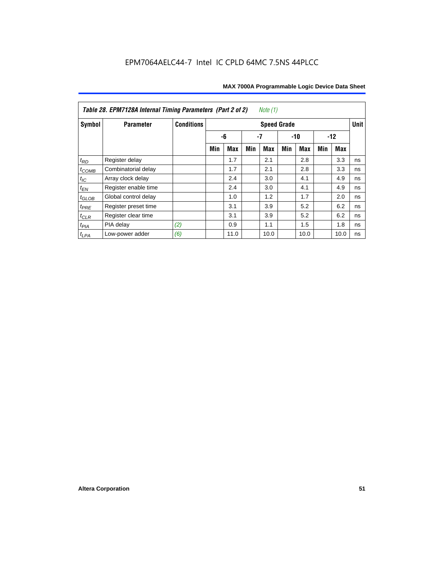| <i>Note</i> $(1)$<br>Table 28. EPM7128A Internal Timing Parameters (Part 2 of 2) |                      |                   |                    |      |     |            |       |            |       |      |             |
|----------------------------------------------------------------------------------|----------------------|-------------------|--------------------|------|-----|------------|-------|------------|-------|------|-------------|
| Symbol                                                                           | <b>Parameter</b>     | <b>Conditions</b> | <b>Speed Grade</b> |      |     |            |       |            |       |      | <b>Unit</b> |
|                                                                                  |                      |                   |                    | -6   | -7  |            | $-10$ |            | $-12$ |      |             |
|                                                                                  |                      |                   | Min                | Max  | Min | <b>Max</b> | Min   | <b>Max</b> | Min   | Max  |             |
| $t_{RD}$                                                                         | Register delay       |                   |                    | 1.7  |     | 2.1        |       | 2.8        |       | 3.3  | ns          |
| $t_{COMB}$                                                                       | Combinatorial delay  |                   |                    | 1.7  |     | 2.1        |       | 2.8        |       | 3.3  | ns          |
| $t_{IC}$                                                                         | Array clock delay    |                   |                    | 2.4  |     | 3.0        |       | 4.1        |       | 4.9  | ns          |
| $t_{EN}$                                                                         | Register enable time |                   |                    | 2.4  |     | 3.0        |       | 4.1        |       | 4.9  | ns          |
| $t_{\text{GLOB}}$                                                                | Global control delay |                   |                    | 1.0  |     | 1.2        |       | 1.7        |       | 2.0  | ns          |
| $t_{PRE}$                                                                        | Register preset time |                   |                    | 3.1  |     | 3.9        |       | 5.2        |       | 6.2  | ns          |
| $t_{CLR}$                                                                        | Register clear time  |                   |                    | 3.1  |     | 3.9        |       | 5.2        |       | 6.2  | ns          |
| $t_{PIA}$                                                                        | PIA delay            | (2)               |                    | 0.9  |     | 1.1        |       | 1.5        |       | 1.8  | ns          |
| $t_{LPA}$                                                                        | Low-power adder      | (6)               |                    | 11.0 |     | 10.0       |       | 10.0       |       | 10.0 | ns          |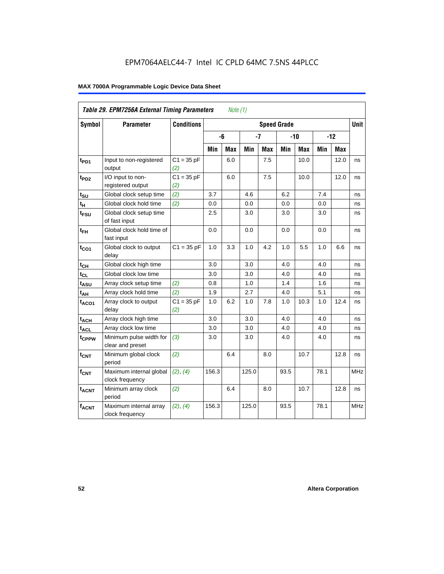| Table 29. EPM7256A External Timing Parameters<br>Note $(1)$ |                                             |                     |                    |     |       |            |       |            |       |             |            |
|-------------------------------------------------------------|---------------------------------------------|---------------------|--------------------|-----|-------|------------|-------|------------|-------|-------------|------------|
| Symbol                                                      | <b>Parameter</b>                            | <b>Conditions</b>   | <b>Speed Grade</b> |     |       |            |       |            |       | <b>Unit</b> |            |
|                                                             |                                             |                     |                    | -6  | $-7$  |            | $-10$ |            | $-12$ |             |            |
|                                                             |                                             |                     | Min                | Max | Min   | <b>Max</b> | Min   | <b>Max</b> | Min   | Max         |            |
| t <sub>PD1</sub>                                            | Input to non-registered<br>output           | $C1 = 35 pF$<br>(2) |                    | 6.0 |       | 7.5        |       | 10.0       |       | 12.0        | ns         |
| t <sub>PD2</sub>                                            | I/O input to non-<br>registered output      | $C1 = 35 pF$<br>(2) |                    | 6.0 |       | 7.5        |       | 10.0       |       | 12.0        | ns         |
| $t_{\text{SU}}$                                             | Global clock setup time                     | (2)                 | 3.7                |     | 4.6   |            | 6.2   |            | 7.4   |             | ns         |
| $t_H$                                                       | Global clock hold time                      | (2)                 | 0.0                |     | 0.0   |            | 0.0   |            | 0.0   |             | ns         |
| $t_{\text{FSU}}$                                            | Global clock setup time<br>of fast input    |                     | 2.5                |     | 3.0   |            | 3.0   |            | 3.0   |             | ns         |
| $t_{FH}$                                                    | Global clock hold time of<br>fast input     |                     | 0.0                |     | 0.0   |            | 0.0   |            | 0.0   |             | ns         |
| $t_{CO1}$                                                   | Global clock to output<br>delay             | $C1 = 35 pF$        | 1.0                | 3.3 | 1.0   | 4.2        | 1.0   | 5.5        | 1.0   | 6.6         | ns         |
| $t_{CH}$                                                    | Global clock high time                      |                     | 3.0                |     | 3.0   |            | 4.0   |            | 4.0   |             | ns         |
| $t_{CL}$                                                    | Global clock low time                       |                     | 3.0                |     | 3.0   |            | 4.0   |            | 4.0   |             | ns         |
| t <sub>ASU</sub>                                            | Array clock setup time                      | (2)                 | 0.8                |     | 1.0   |            | 1.4   |            | 1.6   |             | ns         |
| $t_{AH}$                                                    | Array clock hold time                       | (2)                 | 1.9                |     | 2.7   |            | 4.0   |            | 5.1   |             | ns         |
| $t_{ACO1}$                                                  | Array clock to output<br>delay              | $C1 = 35 pF$<br>(2) | 1.0                | 6.2 | 1.0   | 7.8        | 1.0   | 10.3       | 1.0   | 12.4        | ns         |
| $t_{ACH}$                                                   | Array clock high time                       |                     | 3.0                |     | 3.0   |            | 4.0   |            | 4.0   |             | ns         |
| $t_{\text{ACL}}$                                            | Array clock low time                        |                     | 3.0                |     | 3.0   |            | 4.0   |            | 4.0   |             | ns         |
| t <sub>CPPW</sub>                                           | Minimum pulse width for<br>clear and preset | (3)                 | 3.0                |     | 3.0   |            | 4.0   |            | 4.0   |             | ns         |
| $t_{\text{CNT}}$                                            | Minimum global clock<br>period              | (2)                 |                    | 6.4 |       | 8.0        |       | 10.7       |       | 12.8        | ns         |
| $f_{CNT}$                                                   | Maximum internal global<br>clock frequency  | (2), (4)            | 156.3              |     | 125.0 |            | 93.5  |            | 78.1  |             | <b>MHz</b> |
| t <sub>ACNT</sub>                                           | Minimum array clock<br>period               | (2)                 |                    | 6.4 |       | 8.0        |       | 10.7       |       | 12.8        | ns         |
| <b>fACNT</b>                                                | Maximum internal array<br>clock frequency   | (2), (4)            | 156.3              |     | 125.0 |            | 93.5  |            | 78.1  |             | <b>MHz</b> |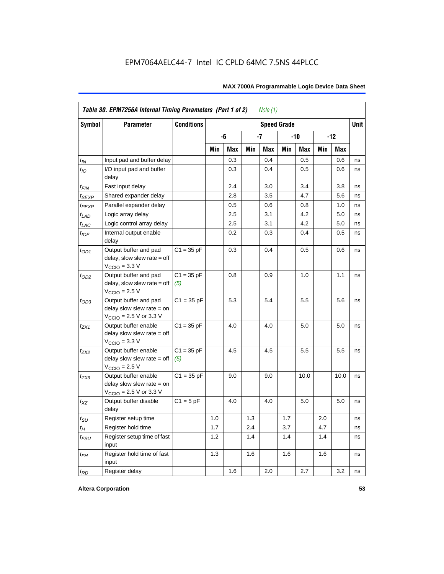| <b>Symbol</b>     | <b>Parameter</b>                                                                                           | <b>Conditions</b>   |     |     |     |            | <b>Speed Grade</b> |      |     |            | <b>Unit</b> |
|-------------------|------------------------------------------------------------------------------------------------------------|---------------------|-----|-----|-----|------------|--------------------|------|-----|------------|-------------|
|                   |                                                                                                            |                     |     | -6  |     | $-7$       |                    | -10  |     | $-12$      |             |
|                   |                                                                                                            |                     | Min | Max | Min | <b>Max</b> | Min                | Max  | Min | <b>Max</b> |             |
| $t_{\mathit{IN}}$ | Input pad and buffer delay                                                                                 |                     |     | 0.3 |     | 0.4        |                    | 0.5  |     | 0.6        | ns          |
| $t_{IO}$          | I/O input pad and buffer<br>delay                                                                          |                     |     | 0.3 |     | 0.4        |                    | 0.5  |     | 0.6        | ns          |
| t <sub>FIN</sub>  | Fast input delay                                                                                           |                     |     | 2.4 |     | 3.0        |                    | 3.4  |     | 3.8        | ns          |
| <sup>t</sup> SEXP | Shared expander delay                                                                                      |                     |     | 2.8 |     | 3.5        |                    | 4.7  |     | 5.6        | ns          |
| t <sub>PEXP</sub> | Parallel expander delay                                                                                    |                     |     | 0.5 |     | 0.6        |                    | 0.8  |     | 1.0        | ns          |
| $t_{LAD}$         | Logic array delay                                                                                          |                     |     | 2.5 |     | 3.1        |                    | 4.2  |     | 5.0        | ns          |
| $t_{LAC}$         | Logic control array delay                                                                                  |                     |     | 2.5 |     | 3.1        |                    | 4.2  |     | 5.0        | ns          |
| $t_{IOE}$         | Internal output enable<br>delay                                                                            |                     |     | 0.2 |     | 0.3        |                    | 0.4  |     | 0.5        | ns          |
| $t_{OD1}$         | Output buffer and pad<br>delay, slow slew rate $=$ off<br>$V_{\text{CCIO}} = 3.3 \text{ V}$                | $C1 = 35 pF$        |     | 0.3 |     | 0.4        |                    | 0.5  |     | 0.6        | ns          |
| $t_{OD2}$         | Output buffer and pad<br>$delay$ , slow slew rate = off<br>$VCCIO = 2.5 V$                                 | $C1 = 35 pF$<br>(5) |     | 0.8 |     | 0.9        |                    | 1.0  |     | 1.1        | ns          |
| $t_{OD3}$         | Output buffer and pad<br>delay slow slew rate $=$ on<br>$V_{\text{CCIO}}$ = 2.5 V or 3.3 V                 | $C1 = 35 pF$        |     | 5.3 |     | 5.4        |                    | 5.5  |     | 5.6        | ns          |
| tzx1              | Output buffer enable<br>delay slow slew rate $=$ off<br>$VCCIO = 3.3 V$                                    | $C1 = 35 pF$        |     | 4.0 |     | 4.0        |                    | 5.0  |     | 5.0        | ns          |
| $t_{ZX2}$         | Output buffer enable<br>delay slow slew rate $=$ off<br>$VCCIO = 2.5 V$                                    | $C1 = 35 pF$<br>(5) |     | 4.5 |     | 4.5        |                    | 5.5  |     | 5.5        | ns          |
| t <sub>ZX3</sub>  | Output buffer enable<br>delay slow slew rate $=$ on<br>$V_{\text{CCIO}} = 2.5 \text{ V or } 3.3 \text{ V}$ | $C1 = 35 pF$        |     | 9.0 |     | 9.0        |                    | 10.0 |     | 10.0       | ns          |
| $t_{XZ}$          | Output buffer disable<br>delay                                                                             | $C1 = 5$ pF         |     | 4.0 |     | 4.0        |                    | 5.0  |     | 5.0        | ns          |
| $t_{\text{SU}}$   | Register setup time                                                                                        |                     | 1.0 |     | 1.3 |            | 1.7                |      | 2.0 |            | ns          |
| $t_{H}$           | Register hold time                                                                                         |                     | 1.7 |     | 2.4 |            | 3.7                |      | 4.7 |            | ns          |
| $t_{FSU}$         | Register setup time of fast<br>input                                                                       |                     | 1.2 |     | 1.4 |            | 1.4                |      | 1.4 |            | ns          |
| $t_{FH}$          | Register hold time of fast<br>input                                                                        |                     | 1.3 |     | 1.6 |            | 1.6                |      | 1.6 |            | ns          |
| $t_{RD}$          | Register delay                                                                                             |                     |     | 1.6 |     | 2.0        |                    | 2.7  |     | 3.2        | ns          |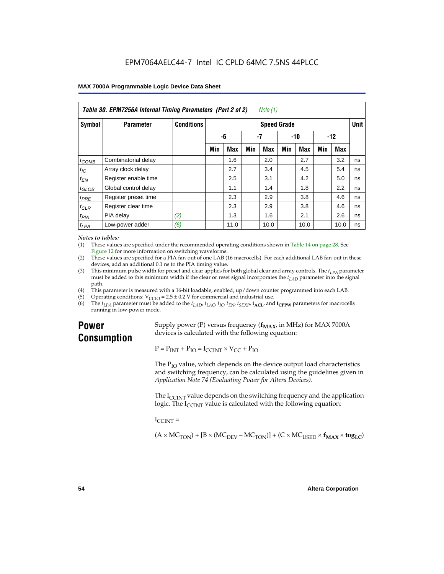| Table 30. EPM7256A Internal Timing Parameters (Part 2 of 2)<br>Note (1) |                      |                   |                     |            |     |       |     |            |     |      |    |
|-------------------------------------------------------------------------|----------------------|-------------------|---------------------|------------|-----|-------|-----|------------|-----|------|----|
| Symbol                                                                  | <b>Parameter</b>     | <b>Conditions</b> | <b>Speed Grade</b>  |            |     |       |     |            |     |      |    |
|                                                                         |                      |                   | $-7$<br>-6<br>$-10$ |            |     | $-12$ |     |            |     |      |    |
|                                                                         |                      |                   | Min                 | <b>Max</b> | Min | Max   | Min | <b>Max</b> | Min | Max  |    |
| $t_{COMB}$                                                              | Combinatorial delay  |                   |                     | 1.6        |     | 2.0   |     | 2.7        |     | 3.2  | ns |
| $t_{\text{IC}}$                                                         | Array clock delay    |                   |                     | 2.7        |     | 3.4   |     | 4.5        |     | 5.4  | ns |
| $t_{EN}$                                                                | Register enable time |                   |                     | 2.5        |     | 3.1   |     | 4.2        |     | 5.0  | ns |
| $t_{GLOB}$                                                              | Global control delay |                   |                     | 1.1        |     | 1.4   |     | 1.8        |     | 2.2  | ns |
| $t_{PRE}$                                                               | Register preset time |                   |                     | 2.3        |     | 2.9   |     | 3.8        |     | 4.6  | ns |
| $t_{CLR}$                                                               | Register clear time  |                   |                     | 2.3        |     | 2.9   |     | 3.8        |     | 4.6  | ns |
| t <sub>PIA</sub>                                                        | PIA delay            | (2)               |                     | 1.3        |     | 1.6   |     | 2.1        |     | 2.6  | ns |
| $t_{LPA}$                                                               | Low-power adder      | (6)               |                     | 11.0       |     | 10.0  |     | 10.0       |     | 10.0 | ns |

#### *Notes to tables:*

(1) These values are specified under the recommended operating conditions shown in Table 14 on page 28. See Figure 12 for more information on switching waveforms.

- (2) These values are specified for a PIA fan-out of one LAB (16 macrocells). For each additional LAB fan-out in these devices, add an additional 0.1 ns to the PIA timing value.
- (3) This minimum pulse width for preset and clear applies for both global clear and array controls. The  $t_{LPA}$  parameter must be added to this minimum width if the clear or reset signal incorporates the  $t_{LAD}$  parameter into the signal path.
- (4) This parameter is measured with a 16-bit loadable, enabled, up/down counter programmed into each LAB.
- (5) Operating conditions:  $V_{\text{CCIO}} = 2.5 \pm 0.2 \text{ V}$  for commercial and industrial use.<br>(6) The  $t_{I}$  parameter must be added to the  $t_{I}$  AD,  $t_{I}$  ac,  $t_{\text{IC}}$ ,  $t_{\text{EN}}$ ,  $t_{\text{SVP}}$ ,  $t_{\text{ACI}}$ , and
- The  $t_{LPA}$  parameter must be added to the  $t_{LAD}$ ,  $t_{LAC}$ ,  $t_{IC}$ ,  $t_{EN}$ ,  $t_{SEXP}$ ,  $t_{ACL}$  and  $t_{CPPW}$  parameters for macrocells running in low-power mode.

### **Power Consumption**

Supply power (P) versus frequency  $(f_{MAX}$ , in MHz) for MAX 7000A devices is calculated with the following equation:

 $P = P_{INT} + P_{IO} = I_{CCINT} \times V_{CC} + P_{IO}$ 

The  $P_{IO}$  value, which depends on the device output load characteristics and switching frequency, can be calculated using the guidelines given in *Application Note 74 (Evaluating Power for Altera Devices)*.

The  $I_{\text{CUNT}}$  value depends on the switching frequency and the application logic. The  $I_{\text{CCINT}}$  value is calculated with the following equation:

 $I_{\text{CCMT}} =$ 

 $(A \times MC_{TON}) + [B \times (MC_{DEV} - MC_{TON})] + (C \times MC_{LISED} \times f_{MAX} \times tog_{LC})$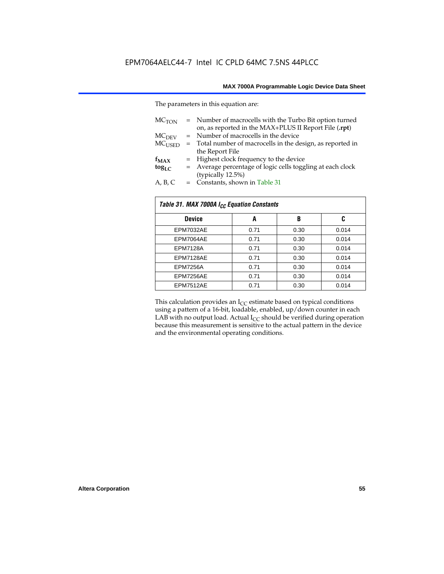The parameters in this equation are:

| MC <sub>TON</sub> | = Number of macrocells with the Turbo Bit option turned<br>on, as reported in the MAX+PLUS II Report File (.rpt) |
|-------------------|------------------------------------------------------------------------------------------------------------------|
| MC <sub>DFV</sub> | = Number of macrocells in the device                                                                             |
| $MC_{LISED}$      | = Total number of macrocells in the design, as reported in                                                       |
|                   | the Report File                                                                                                  |
| $f_{MAX}$         | = Highest clock frequency to the device                                                                          |
| $tog_{LC}$        | = Average percentage of logic cells toggling at each clock                                                       |
|                   | (typically 12.5%)                                                                                                |
| A, B, C           | = Constants, shown in Table 31                                                                                   |

| Table 31. MAX 7000A I <sub>CC</sub> Equation Constants |      |      |       |  |  |
|--------------------------------------------------------|------|------|-------|--|--|
| <b>Device</b>                                          | A    | B    | C     |  |  |
| EPM7032AE                                              | 0.71 | 0.30 | 0.014 |  |  |
| EPM7064AE                                              | 0.71 | 0.30 | 0.014 |  |  |
| <b>EPM7128A</b>                                        | 0.71 | 0.30 | 0.014 |  |  |
| EPM7128AE                                              | 0.71 | 0.30 | 0.014 |  |  |
| <b>EPM7256A</b>                                        | 0.71 | 0.30 | 0.014 |  |  |
| EPM7256AE                                              | 0.71 | 0.30 | 0.014 |  |  |
| EPM7512AE                                              | 0.71 | 0.30 | 0.014 |  |  |

This calculation provides an  $I_{CC}$  estimate based on typical conditions using a pattern of a 16-bit, loadable, enabled, up/down counter in each LAB with no output load. Actual  $I_{CC}$  should be verified during operation because this measurement is sensitive to the actual pattern in the device and the environmental operating conditions.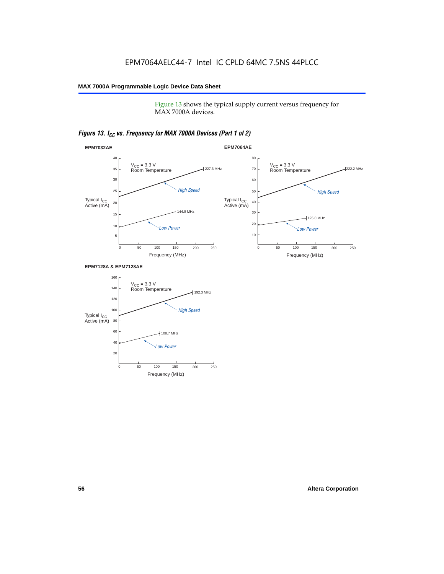Figure 13 shows the typical supply current versus frequency for MAX 7000A devices.

#### *Figure 13. I<sub>CC</sub> vs. Frequency for MAX 7000A Devices (Part 1 of 2)*



#### **EPM7128A & EPM7128AE**

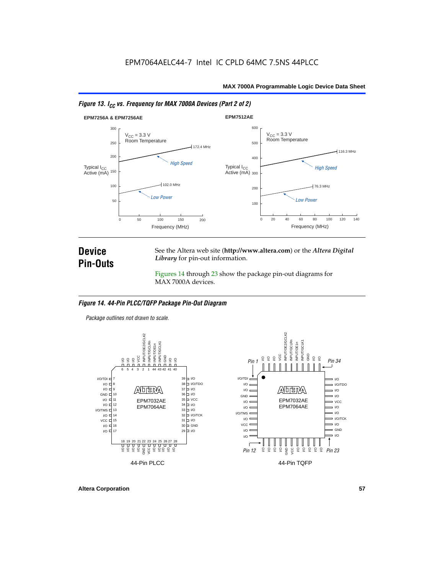



### **Device Pin-Outs**

See the Altera web site (**http://www.altera.com**) or the *Altera Digital Library* for pin-out information.

Figures 14 through 23 show the package pin-out diagrams for MAX 7000A devices.

#### *Figure 14. 44-Pin PLCC/TQFP Package Pin-Out Diagram*

*Package outlines not drawn to scale.*



**Altera Corporation 57**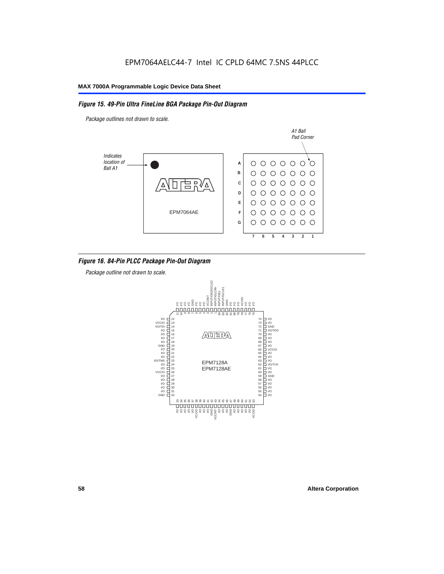#### *Figure 15. 49-Pin Ultra FineLine BGA Package Pin-Out Diagram*

*Package outlines not drawn to scale.*



#### *Figure 16. 84-Pin PLCC Package Pin-Out Diagram*

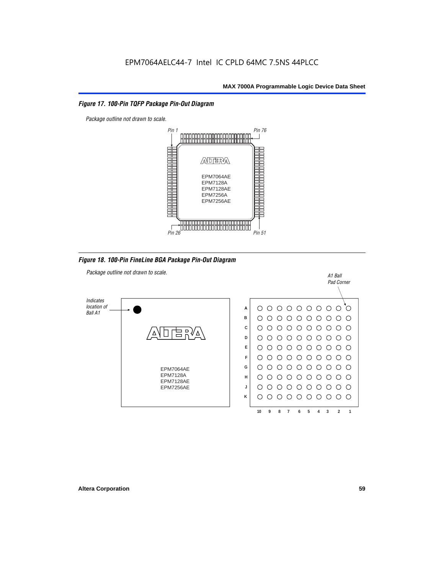#### *Figure 17. 100-Pin TQFP Package Pin-Out Diagram*



*Figure 18. 100-Pin FineLine BGA Package Pin-Out Diagram*

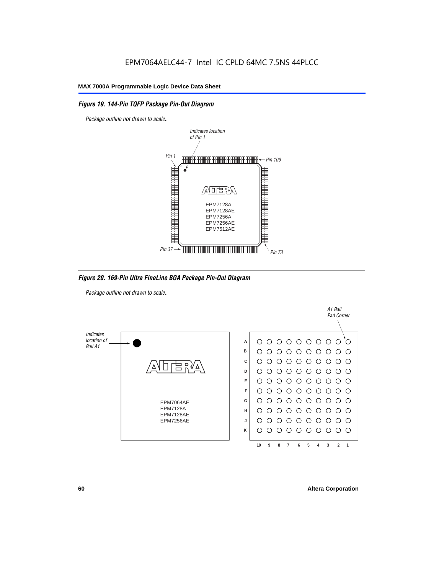#### *Figure 19. 144-Pin TQFP Package Pin-Out Diagram*

*Package outline not drawn to scale*.



*Figure 20. 169-Pin Ultra FineLine BGA Package Pin-Out Diagram*

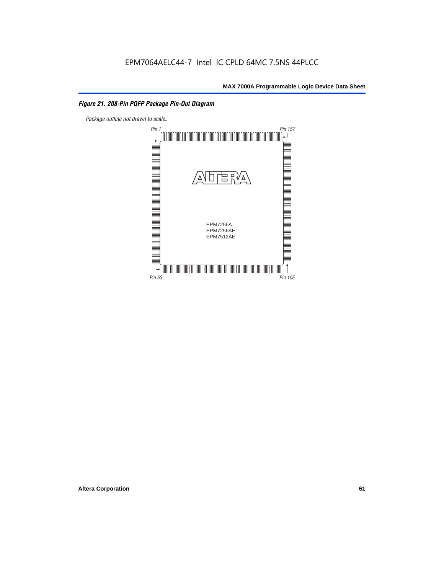#### *Figure 21. 208-Pin PQFP Package Pin-Out Diagram*

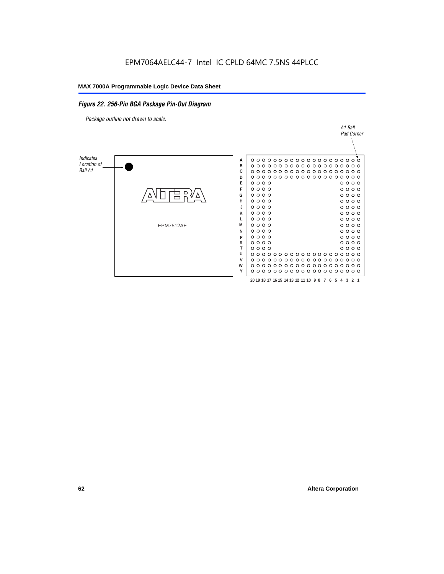#### *Figure 22. 256-Pin BGA Package Pin-Out Diagram*

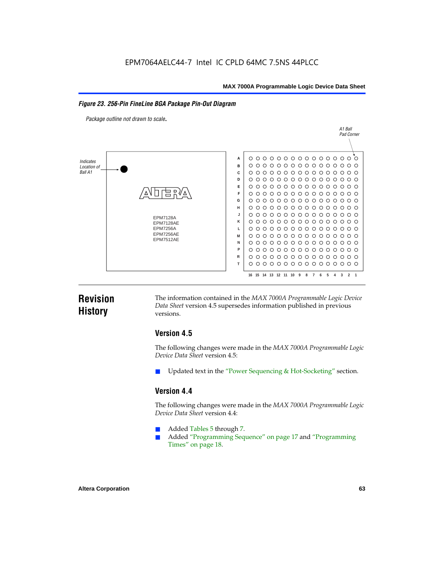#### *Figure 23. 256-Pin FineLine BGA Package Pin-Out Diagram*

*Package outline not drawn to scale*.



### **Revision History**

The information contained in the *MAX 7000A Programmable Logic Device Data Sheet* version 4.5 supersedes information published in previous versions.

#### **Version 4.5**

The following changes were made in the *MAX 7000A Programmable Logic Device Data Sheet* version 4.5:

Updated text in the "Power Sequencing & Hot-Socketing" section.

#### **Version 4.4**

The following changes were made in the *MAX 7000A Programmable Logic Device Data Sheet* version 4.4:

- Added Tables 5 through 7.
	- Added "Programming Sequence" on page 17 and "Programming Times" on page 18.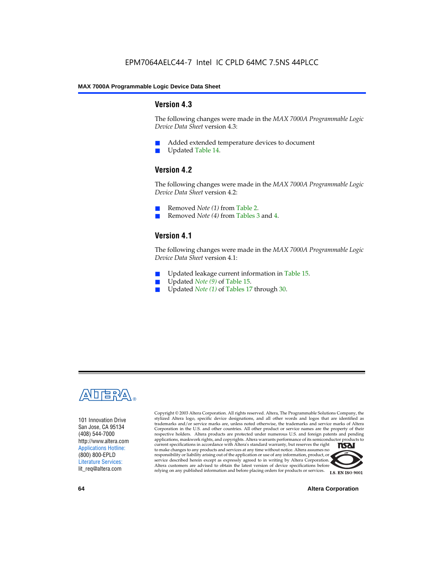#### **Version 4.3**

The following changes were made in the *MAX 7000A Programmable Logic Device Data Sheet* version 4.3:

- Added extended temperature devices to document
- Updated Table 14.

#### **Version 4.2**

The following changes were made in the *MAX 7000A Programmable Logic Device Data Sheet* version 4.2:

- Removed *Note (1)* from Table 2.
- Removed *Note (4)* from Tables 3 and 4.

#### **Version 4.1**

The following changes were made in the *MAX 7000A Programmable Logic Device Data Sheet* version 4.1:

- Updated leakage current information in Table 15.
- Updated *Note (9)* of Table 15.
- Updated *Note* (1) of Tables 17 through 30.



101 Innovation Drive San Jose, CA 95134 (408) 544-7000 http://www.altera.com Applications Hotline: (800) 800-EPLD Literature Services: lit\_req@altera.com

Copyright © 2003 Altera Corporation. All rights reserved. Altera, The Programmable Solutions Company, the stylized Altera logo, specific device designations, and all other words and logos that are identified as trademarks and/or service marks are, unless noted otherwise, the trademarks and service marks of Altera Corporation in the U.S. and other countries. All other product or service names are the property of their respective holders. Altera products are protected under numerous U.S. and foreign patents and pending applications, maskwork rights, and copyrights. Altera warrants performance of its semiconductor products to current specifications in accordance with Altera's standard warranty, but reserves the right **TSAI** to make changes to any products and services at any time without notice. Altera assumes no responsibility or liability arising out of the application or use of any information, product, or service described herein except as expressly agreed to in writing by Altera Corporation. Altera customers are advised to obtain the latest version of device specifications before relying on any published information and before placing orders for products or services.



**64 Altera Corporation**